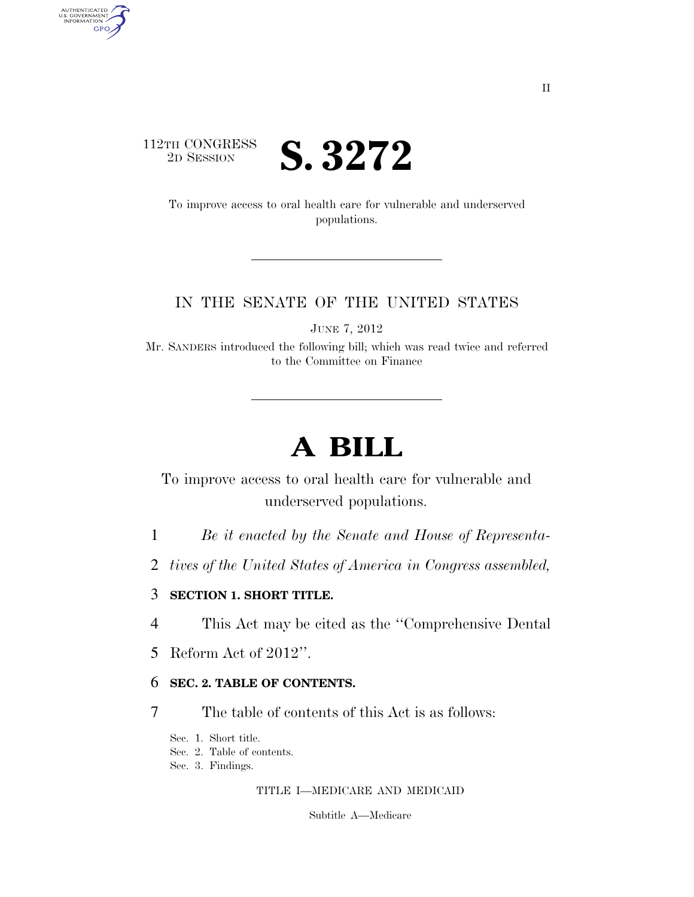

AUTHENTICATED<br>U.S. GOVERNMENT<br>INFORMATION GPO

> To improve access to oral health care for vulnerable and underserved populations.

### IN THE SENATE OF THE UNITED STATES

JUNE 7, 2012

Mr. SANDERS introduced the following bill; which was read twice and referred to the Committee on Finance

# **A BILL**

To improve access to oral health care for vulnerable and underserved populations.

- 1 *Be it enacted by the Senate and House of Representa-*
- 2 *tives of the United States of America in Congress assembled,*

#### 3 **SECTION 1. SHORT TITLE.**

- 4 This Act may be cited as the ''Comprehensive Dental
- 5 Reform Act of 2012''.

#### 6 **SEC. 2. TABLE OF CONTENTS.**

- 7 The table of contents of this Act is as follows:
	- Sec. 1. Short title.
	- Sec. 2. Table of contents.
	- Sec. 3. Findings.

#### TITLE I—MEDICARE AND MEDICAID

Subtitle A—Medicare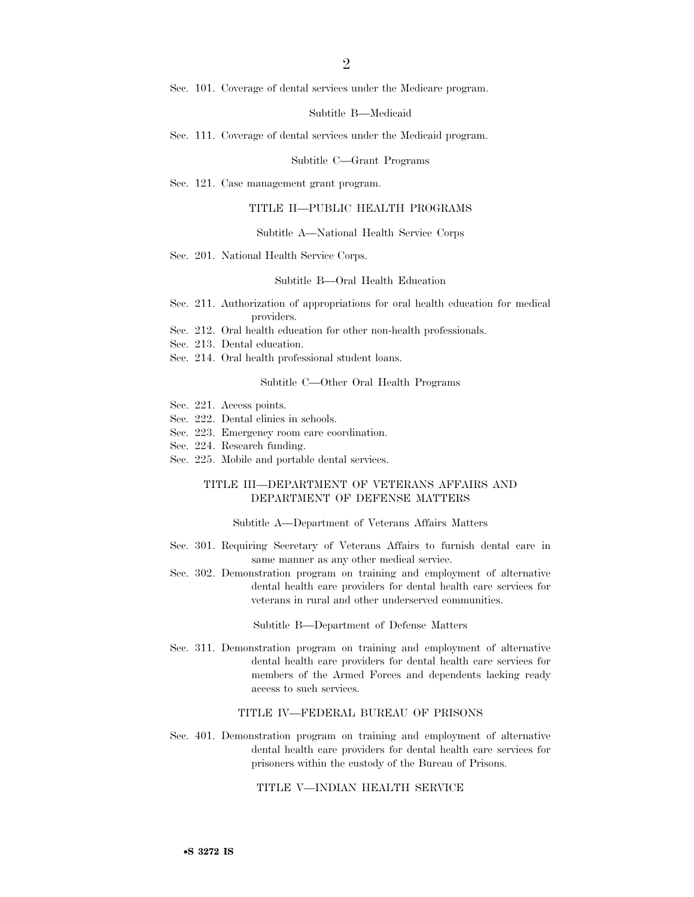Sec. 101. Coverage of dental services under the Medicare program.

Subtitle B—Medicaid

Sec. 111. Coverage of dental services under the Medicaid program.

#### Subtitle C—Grant Programs

Sec. 121. Case management grant program.

#### TITLE II—PUBLIC HEALTH PROGRAMS

#### Subtitle A—National Health Service Corps

Sec. 201. National Health Service Corps.

#### Subtitle B—Oral Health Education

- Sec. 211. Authorization of appropriations for oral health education for medical providers.
- Sec. 212. Oral health education for other non-health professionals.
- Sec. 213. Dental education.
- Sec. 214. Oral health professional student loans.

#### Subtitle C—Other Oral Health Programs

- Sec. 221. Access points.
- Sec. 222. Dental clinics in schools.
- Sec. 223. Emergency room care coordination.
- Sec. 224. Research funding.
- Sec. 225. Mobile and portable dental services.

#### TITLE III—DEPARTMENT OF VETERANS AFFAIRS AND DEPARTMENT OF DEFENSE MATTERS

#### Subtitle A—Department of Veterans Affairs Matters

- Sec. 301. Requiring Secretary of Veterans Affairs to furnish dental care in same manner as any other medical service.
- Sec. 302. Demonstration program on training and employment of alternative dental health care providers for dental health care services for veterans in rural and other underserved communities.

#### Subtitle B—Department of Defense Matters

Sec. 311. Demonstration program on training and employment of alternative dental health care providers for dental health care services for members of the Armed Forces and dependents lacking ready access to such services.

#### TITLE IV—FEDERAL BUREAU OF PRISONS

Sec. 401. Demonstration program on training and employment of alternative dental health care providers for dental health care services for prisoners within the custody of the Bureau of Prisons.

#### TITLE V—INDIAN HEALTH SERVICE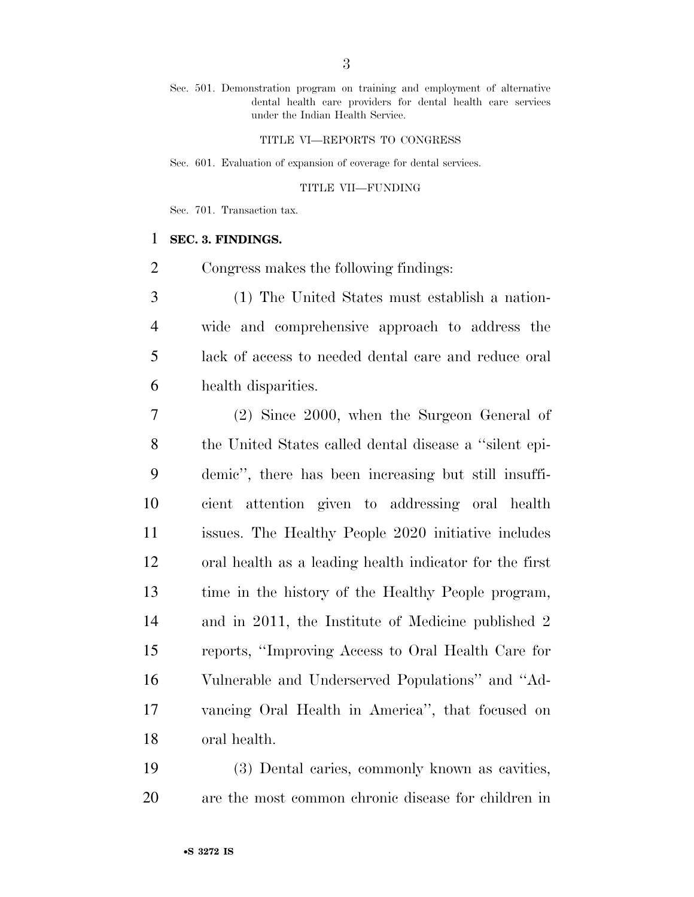Sec. 501. Demonstration program on training and employment of alternative dental health care providers for dental health care services under the Indian Health Service.

#### TITLE VI—REPORTS TO CONGRESS

Sec. 601. Evaluation of expansion of coverage for dental services.

#### TITLE VII—FUNDING

Sec. 701. Transaction tax.

#### **SEC. 3. FINDINGS.**

Congress makes the following findings:

 (1) The United States must establish a nation- wide and comprehensive approach to address the lack of access to needed dental care and reduce oral health disparities.

 (2) Since 2000, when the Surgeon General of the United States called dental disease a ''silent epi- demic'', there has been increasing but still insuffi- cient attention given to addressing oral health issues. The Healthy People 2020 initiative includes oral health as a leading health indicator for the first time in the history of the Healthy People program, and in 2011, the Institute of Medicine published 2 reports, ''Improving Access to Oral Health Care for Vulnerable and Underserved Populations'' and ''Ad- vancing Oral Health in America'', that focused on oral health.

 (3) Dental caries, commonly known as cavities, are the most common chronic disease for children in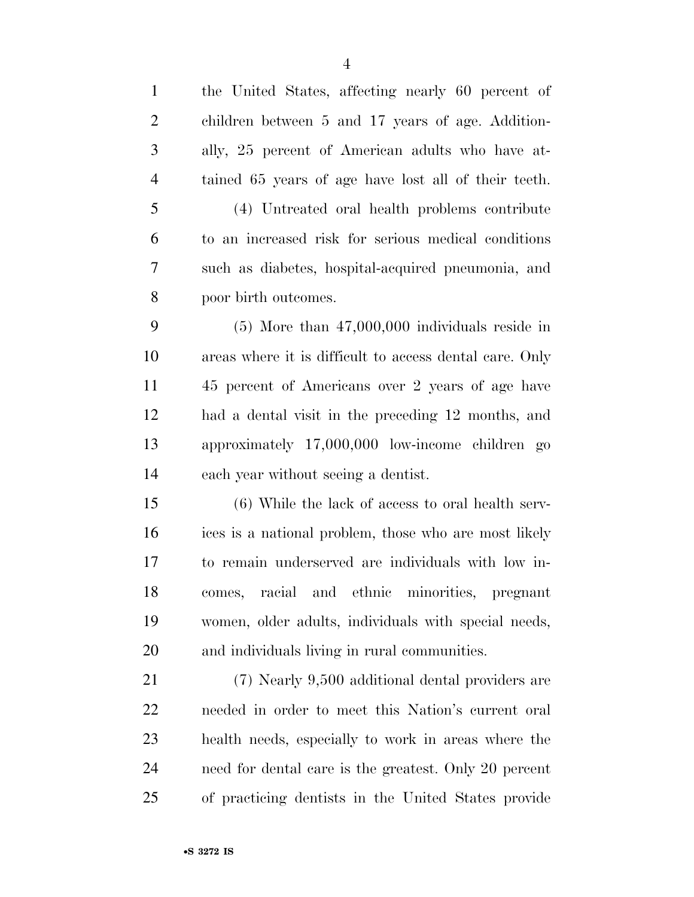| $\mathbf{1}$   | the United States, affecting nearly 60 percent of       |
|----------------|---------------------------------------------------------|
| $\overline{2}$ | children between 5 and 17 years of age. Addition-       |
| 3              | ally, 25 percent of American adults who have at-        |
| $\overline{4}$ | tained 65 years of age have lost all of their teeth.    |
| 5              | (4) Untreated oral health problems contribute           |
| 6              | to an increased risk for serious medical conditions     |
| 7              | such as diabetes, hospital-acquired pneumonia, and      |
| 8              | poor birth outcomes.                                    |
| 9              | $(5)$ More than $47,000,000$ individuals reside in      |
| 10             | areas where it is difficult to access dental care. Only |
| 11             | 45 percent of Americans over 2 years of age have        |
| 12             | had a dental visit in the preceding 12 months, and      |
| 13             | approximately 17,000,000 low-income children go         |
| 14             | each year without seeing a dentist.                     |
| 15             | (6) While the lack of access to oral health serv-       |
| 16             | ices is a national problem, those who are most likely   |
| 17             | to remain underserved are individuals with low in-      |
| 18             | and ethnic minorities, pregnant<br>racial<br>comes,     |
| 19             | women, older adults, individuals with special needs,    |
| <b>20</b>      | and individuals living in rural communities.            |
| 21             | (7) Nearly 9,500 additional dental providers are        |
| 22             | needed in order to meet this Nation's current oral      |
| 23             | health needs, especially to work in areas where the     |
| 24             | need for dental care is the greatest. Only 20 percent   |
| 25             | of practicing dentists in the United States provide     |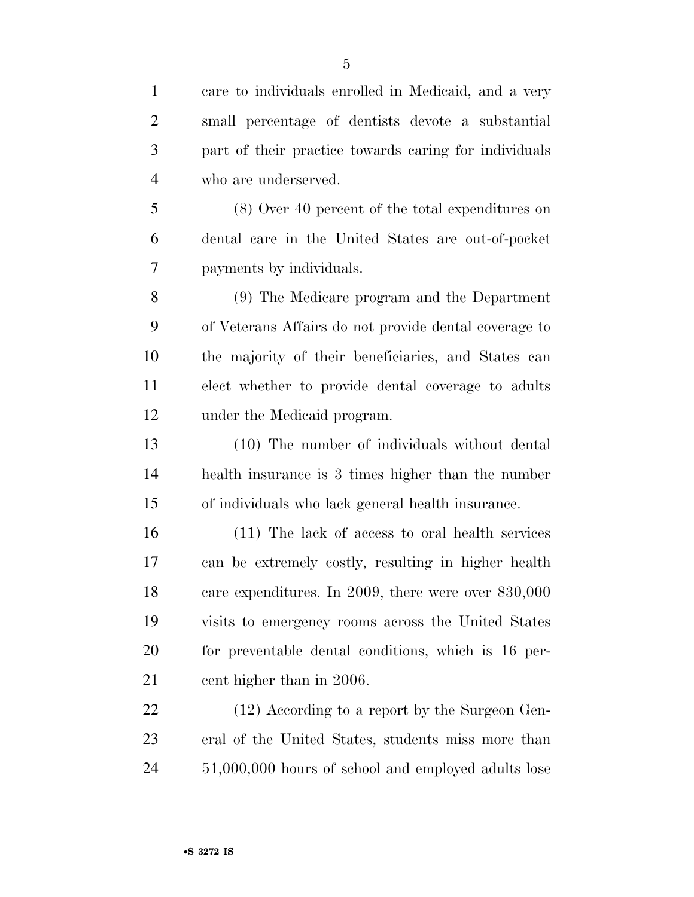part of their practice towards caring for individuals who are underserved.

 (8) Over 40 percent of the total expenditures on dental care in the United States are out-of-pocket payments by individuals.

 (9) The Medicare program and the Department of Veterans Affairs do not provide dental coverage to the majority of their beneficiaries, and States can elect whether to provide dental coverage to adults under the Medicaid program.

 (10) The number of individuals without dental health insurance is 3 times higher than the number of individuals who lack general health insurance.

 (11) The lack of access to oral health services can be extremely costly, resulting in higher health care expenditures. In 2009, there were over 830,000 visits to emergency rooms across the United States for preventable dental conditions, which is 16 per-21 cent higher than in 2006.

22 (12) According to a report by the Surgeon Gen- eral of the United States, students miss more than 51,000,000 hours of school and employed adults lose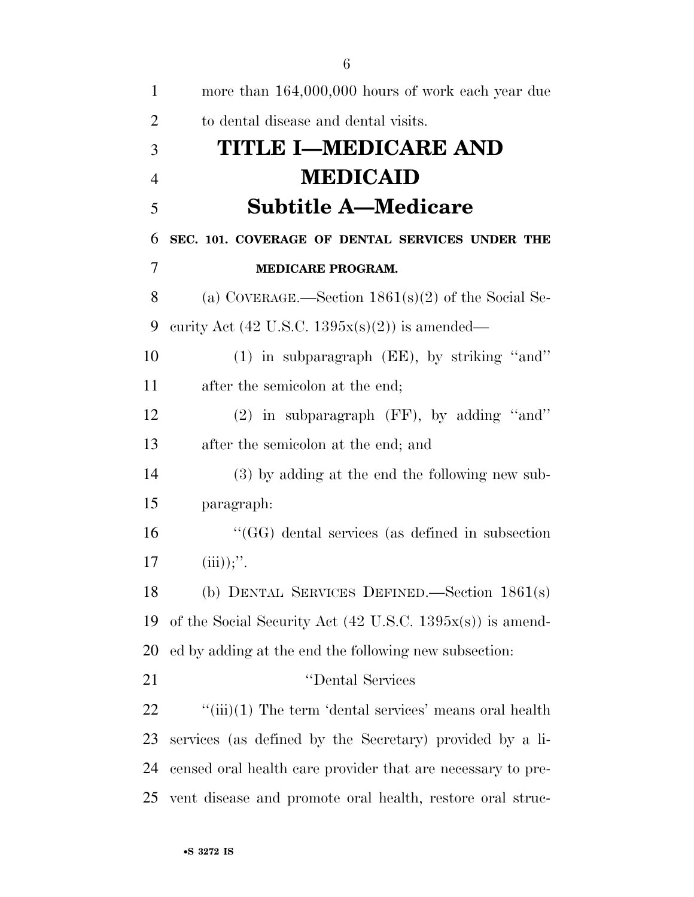| 1              | more than 164,000,000 hours of work each year due                    |
|----------------|----------------------------------------------------------------------|
| $\overline{2}$ | to dental disease and dental visits.                                 |
| 3              | <b>TITLE I-MEDICARE AND</b>                                          |
| $\overline{4}$ | <b>MEDICAID</b>                                                      |
| 5              | <b>Subtitle A—Medicare</b>                                           |
| 6              | SEC. 101. COVERAGE OF DENTAL SERVICES UNDER THE                      |
| 7              | <b>MEDICARE PROGRAM.</b>                                             |
| 8              | (a) COVERAGE.—Section $1861(s)(2)$ of the Social Se-                 |
| 9              | curity Act (42 U.S.C. $1395x(s)(2)$ ) is amended—                    |
| 10             | $(1)$ in subparagraph (EE), by striking "and"                        |
| 11             | after the semicolon at the end;                                      |
| 12             | $(2)$ in subparagraph (FF), by adding "and"                          |
| 13             | after the semicolon at the end; and                                  |
| 14             | (3) by adding at the end the following new sub-                      |
| 15             | paragraph:                                                           |
| 16             | "(GG) dental services (as defined in subsection                      |
| 17             | $(iii));''$ .                                                        |
| 18             | (b) DENTAL SERVICES DEFINED.—Section $1861(s)$                       |
| 19             | of the Social Security Act $(42 \text{ U.S.C. } 1395x(s))$ is amend- |
| 20             | ed by adding at the end the following new subsection:                |
| 21             | "Dental Services                                                     |
| 22             | $\lq\lq$ (iii)(1) The term 'dental services' means oral health       |
| 23             | services (as defined by the Secretary) provided by a li-             |
| 24             | censed oral health care provider that are necessary to pre-          |
| 25             | vent disease and promote oral health, restore oral struc-            |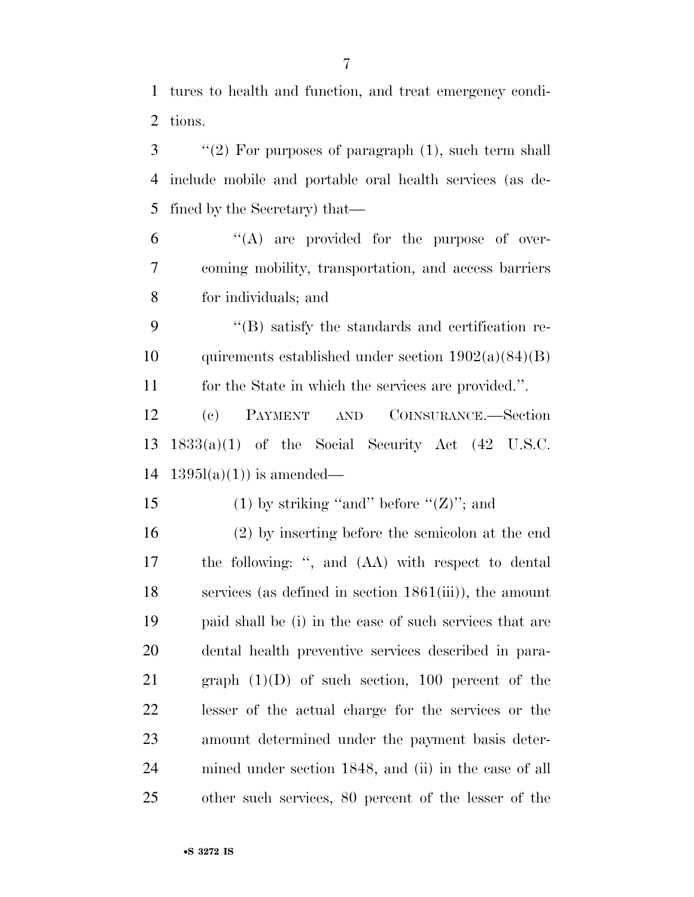tures to health and function, and treat emergency condi-tions.

 ''(2) For purposes of paragraph (1), such term shall include mobile and portable oral health services (as de-fined by the Secretary) that—

 "(A) are provided for the purpose of over- coming mobility, transportation, and access barriers for individuals; and

 ''(B) satisfy the standards and certification re-10 quirements established under section  $1902(a)(84)(B)$ for the State in which the services are provided.''.

 (c) PAYMENT AND COINSURANCE.—Section 1833(a)(1) of the Social Security Act (42 U.S.C. 14  $1395l(a)(1)$  is amended—

15 (1) by striking "and" before " $(Z)$ "; and

 (2) by inserting before the semicolon at the end the following: '', and (AA) with respect to dental services (as defined in section 1861(iii)), the amount paid shall be (i) in the case of such services that are dental health preventive services described in para-21 graph  $(1)(D)$  of such section, 100 percent of the lesser of the actual charge for the services or the amount determined under the payment basis deter- mined under section 1848, and (ii) in the case of all other such services, 80 percent of the lesser of the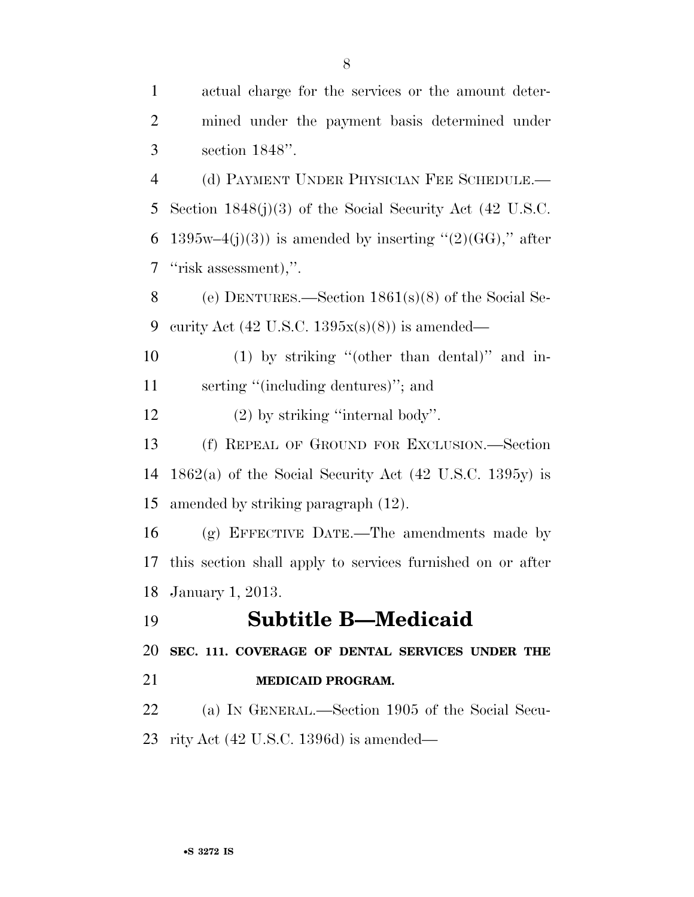| $\mathbf{1}$   | actual charge for the services or the amount deter-        |
|----------------|------------------------------------------------------------|
| $\overline{2}$ | mined under the payment basis determined under             |
| 3              | section $1848$ ".                                          |
| $\overline{4}$ | (d) PAYMENT UNDER PHYSICIAN FEE SCHEDULE.—                 |
| 5              | Section $1848(j)(3)$ of the Social Security Act (42 U.S.C. |
| 6              | $1395w-4(j)(3)$ is amended by inserting "(2)(GG)," after   |
| 7              | "risk assessment),".                                       |
| 8              | (e) DENTURES.—Section $1861(s)(8)$ of the Social Se-       |
| 9              | curity Act $(42 \text{ U.S.C. } 1395x(s)(8))$ is amended—  |
| 10             | $(1)$ by striking "(other than dental)" and in-            |
| 11             | serting "(including dentures)"; and                        |
| 12             | $(2)$ by striking "internal body".                         |
| 13             | (f) REPEAL OF GROUND FOR EXCLUSION.—Section                |
| 14             | $1862(a)$ of the Social Security Act (42 U.S.C. 1395y) is  |
| 15             | amended by striking paragraph (12).                        |
| 16             | (g) EFFECTIVE DATE.—The amendments made by                 |
| 17             | this section shall apply to services furnished on or after |
|                | 18 January 1, 2013.                                        |
| 19             | <b>Subtitle B-Medicaid</b>                                 |
| 20             | SEC. 111. COVERAGE OF DENTAL SERVICES UNDER THE            |
| 21             | MEDICAID PROGRAM.                                          |
| 22             | (a) IN GENERAL.—Section 1905 of the Social Secu-           |
| 23             | rity Act $(42 \text{ U.S.C. } 1396d)$ is amended—          |
|                |                                                            |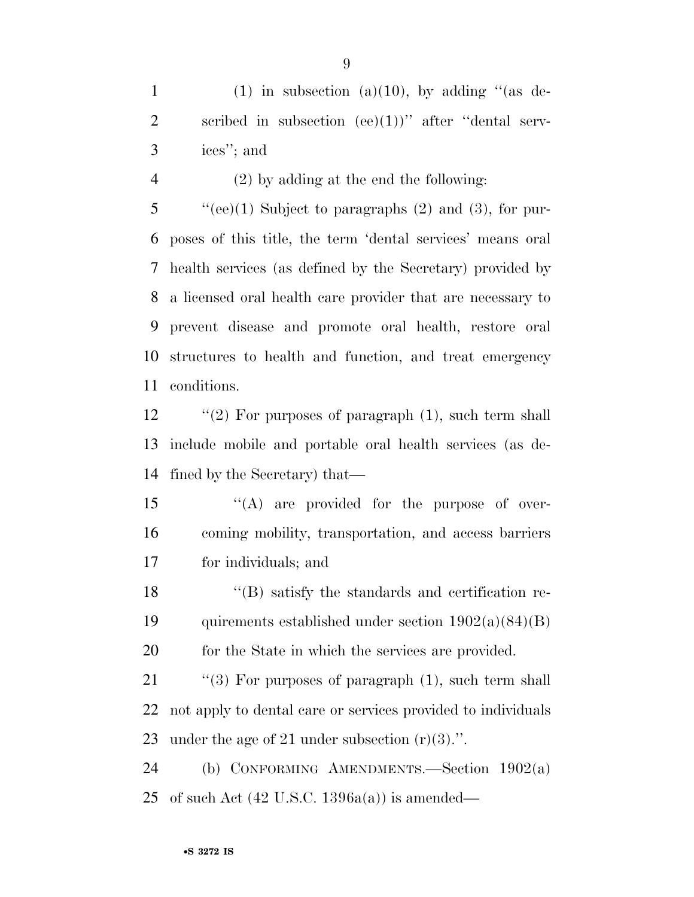1 (1) in subsection (a)(10), by adding "(as de-2 scribed in subsection  $(ee)(1)$ " after "dental serv-ices''; and

(2) by adding at the end the following:

 "'(ee)(1) Subject to paragraphs (2) and (3), for pur- poses of this title, the term 'dental services' means oral health services (as defined by the Secretary) provided by a licensed oral health care provider that are necessary to prevent disease and promote oral health, restore oral structures to health and function, and treat emergency conditions.

12 "(2) For purposes of paragraph (1), such term shall include mobile and portable oral health services (as de-fined by the Secretary) that—

15  $\langle A \rangle$  are provided for the purpose of over- coming mobility, transportation, and access barriers for individuals; and

 ''(B) satisfy the standards and certification re-19 quirements established under section  $1902(a)(84)(B)$ 20 for the State in which the services are provided.

21 "(3) For purposes of paragraph (1), such term shall not apply to dental care or services provided to individuals under the age of 21 under subsection (r)(3).''.

 (b) CONFORMING AMENDMENTS.—Section 1902(a) 25 of such Act  $(42 \text{ U.S.C. } 1396a(a))$  is amended—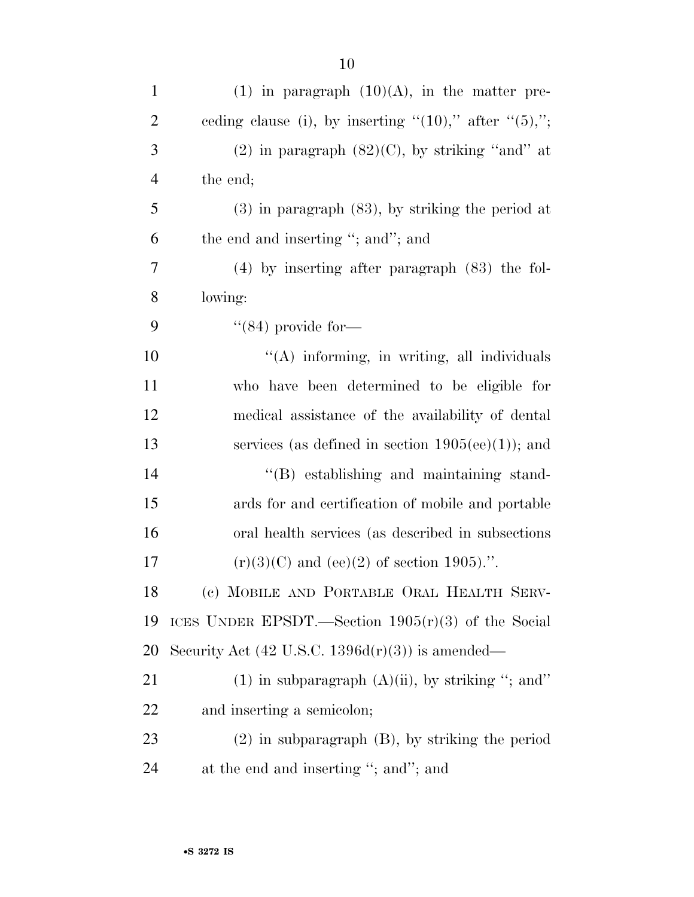| $\mathbf{1}$   | $(1)$ in paragraph $(10)(A)$ , in the matter pre-             |
|----------------|---------------------------------------------------------------|
| $\overline{2}$ | ceding clause (i), by inserting " $(10)$ ," after " $(5)$ ,"; |
| 3              | $(2)$ in paragraph $(82)(C)$ , by striking "and" at           |
| $\overline{4}$ | the end;                                                      |
| 5              | $(3)$ in paragraph $(83)$ , by striking the period at         |
| 6              | the end and inserting "; and"; and                            |
| 7              | $(4)$ by inserting after paragraph $(83)$ the fol-            |
| 8              | lowing:                                                       |
| 9              | $\cdot$ (84) provide for—                                     |
| 10             | "(A) informing, in writing, all individuals                   |
| 11             | who have been determined to be eligible for                   |
| 12             | medical assistance of the availability of dental              |
| 13             | services (as defined in section $1905(ee)(1)$ ); and          |
| 14             | $\lq\lq$ establishing and maintaining stand-                  |
| 15             | ards for and certification of mobile and portable             |
| 16             | oral health services (as described in subsections)            |
| 17             | $(r)(3)(C)$ and (ee)(2) of section 1905).".                   |
| 18             | (c) MOBILE AND PORTABLE ORAL HEALTH SERV-                     |
| 19             | ICES UNDER EPSDT.—Section $1905(r)(3)$ of the Social          |
| 20             | Security Act $(42 \text{ U.S.C. } 1396d(r)(3))$ is amended—   |
| 21             | $(1)$ in subparagraph $(A)(ii)$ , by striking "; and"         |
| 22             | and inserting a semicolon;                                    |
| 23             | $(2)$ in subparagraph $(B)$ , by striking the period          |
| 24             | at the end and inserting "; and"; and                         |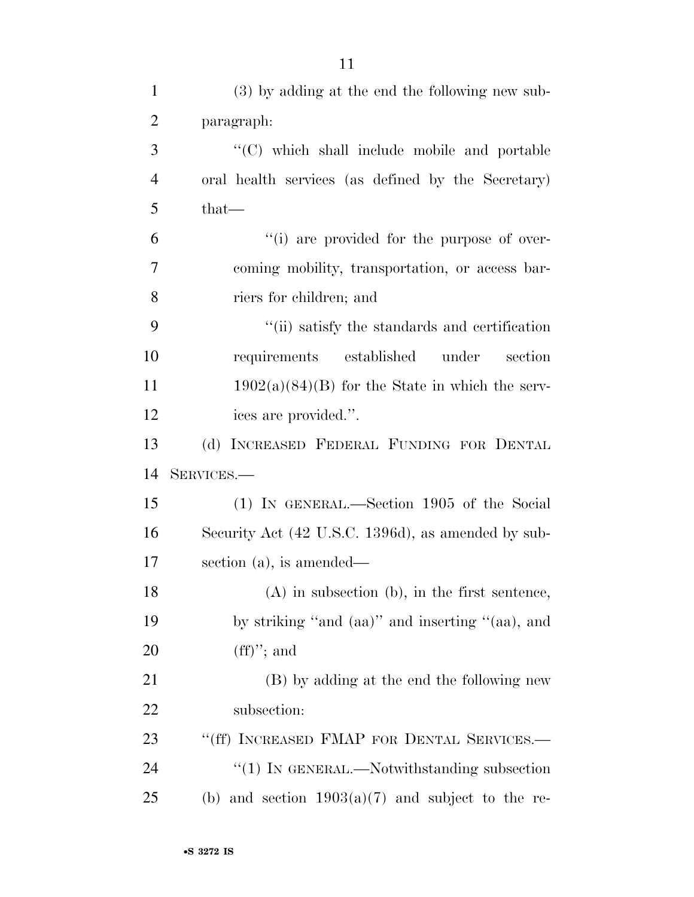| $\mathbf{1}$   | (3) by adding at the end the following new sub-        |
|----------------|--------------------------------------------------------|
| $\overline{2}$ | paragraph:                                             |
| 3              | "(C) which shall include mobile and portable           |
| $\overline{4}$ | oral health services (as defined by the Secretary)     |
| 5              | $that$ —                                               |
| 6              | "(i) are provided for the purpose of over-             |
| 7              | coming mobility, transportation, or access bar-        |
| 8              | riers for children; and                                |
| 9              | "(ii) satisfy the standards and certification          |
| 10             | requirements established<br>under<br>section           |
| 11             | $1902(a)(84)(B)$ for the State in which the serv-      |
| 12             | ices are provided.".                                   |
| 13             | (d) INCREASED FEDERAL FUNDING FOR DENTAL               |
| 14             | SERVICES.-                                             |
| 15             | (1) IN GENERAL.—Section 1905 of the Social             |
| 16             | Security Act (42 U.S.C. 1396d), as amended by sub-     |
| 17             | section $(a)$ , is amended—                            |
| 18             | $(A)$ in subsection $(b)$ , in the first sentence,     |
| 19             | by striking "and (aa)" and inserting "(aa), and        |
| 20             | $(ff)$ "; and                                          |
| 21             | (B) by adding at the end the following new             |
| 22             | subsection:                                            |
| 23             | "(ff) INCREASED FMAP FOR DENTAL SERVICES.-             |
| 24             | "(1) IN GENERAL.—Notwithstanding subsection            |
| 25             | and section $1903(a)(7)$ and subject to the re-<br>(b) |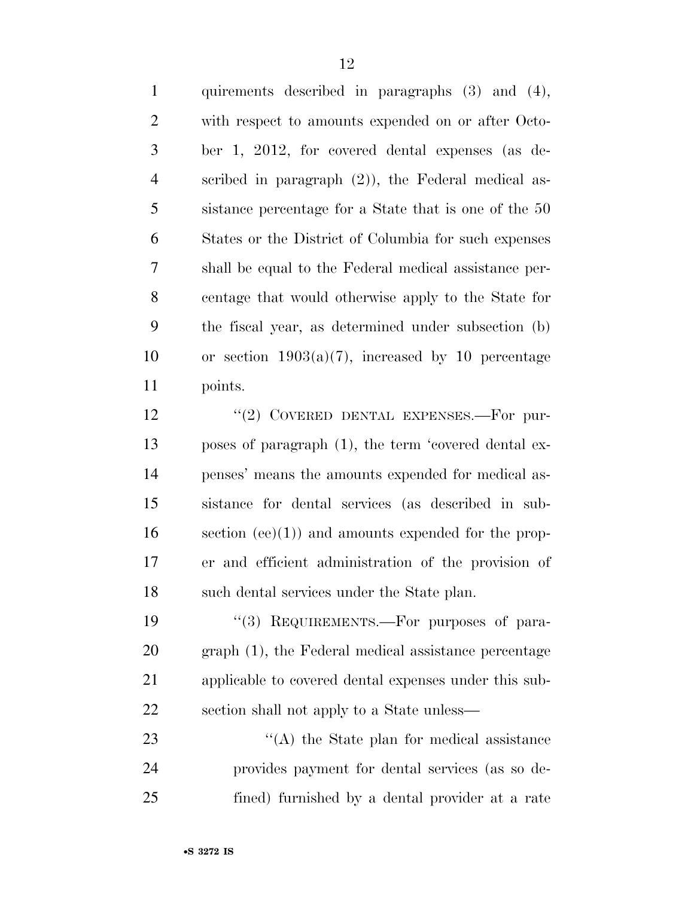quirements described in paragraphs (3) and (4), with respect to amounts expended on or after Octo- ber 1, 2012, for covered dental expenses (as de- scribed in paragraph (2)), the Federal medical as- sistance percentage for a State that is one of the 50 States or the District of Columbia for such expenses shall be equal to the Federal medical assistance per- centage that would otherwise apply to the State for the fiscal year, as determined under subsection (b) 10 or section  $1903(a)(7)$ , increased by 10 percentage points.

12 "(2) COVERED DENTAL EXPENSES.—For pur- poses of paragraph (1), the term 'covered dental ex- penses' means the amounts expended for medical as- sistance for dental services (as described in sub- section (ee)(1)) and amounts expended for the prop- er and efficient administration of the provision of such dental services under the State plan.

19 "(3) REQUIREMENTS.—For purposes of para- graph (1), the Federal medical assistance percentage applicable to covered dental expenses under this sub-section shall not apply to a State unless—

23 ''(A) the State plan for medical assistance provides payment for dental services (as so de-fined) furnished by a dental provider at a rate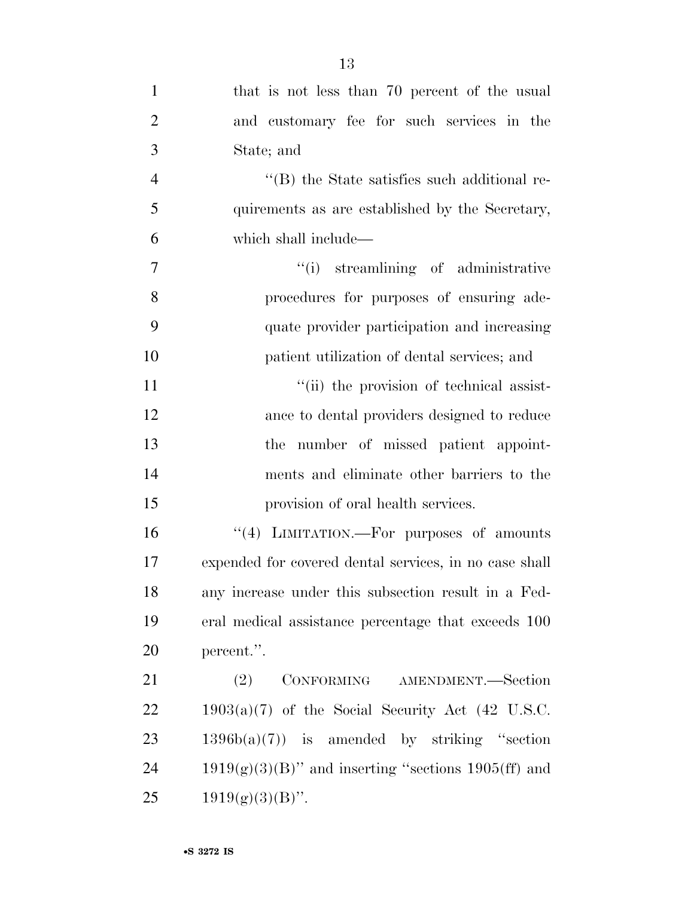| $\mathbf{1}$   | that is not less than 70 percent of the usual          |
|----------------|--------------------------------------------------------|
| $\overline{2}$ | and customary fee for such services in the             |
| 3              | State; and                                             |
| $\overline{4}$ | $\lq\lq$ the State satisfies such additional re-       |
| 5              | quirements as are established by the Secretary,        |
| 6              | which shall include—                                   |
| $\tau$         | "(i) streamlining of administrative                    |
| 8              | procedures for purposes of ensuring ade-               |
| 9              | quate provider participation and increasing            |
| 10             | patient utilization of dental services; and            |
| 11             | "(ii) the provision of technical assist-               |
| 12             | ance to dental providers designed to reduce            |
| 13             | the number of missed patient appoint-                  |
| 14             | ments and eliminate other barriers to the              |
| 15             | provision of oral health services.                     |
| 16             | "(4) LIMITATION.—For purposes of amounts               |
| 17             | expended for covered dental services, in no case shall |
| 18             | any increase under this subsection result in a Fed-    |
| 19             | eral medical assistance percentage that exceeds 100    |
| 20             | percent.".                                             |
| 21             | CONFORMING AMENDMENT.-Section<br>(2)                   |
| 22             | $1903(a)(7)$ of the Social Security Act (42 U.S.C.     |
| 23             | $1396b(a)(7)$ is amended by striking "section"         |
| 24             | $1919(g)(3)(B)$ " and inserting "sections 1905(ff) and |
| 25             | $1919(g)(3)(B)$ ".                                     |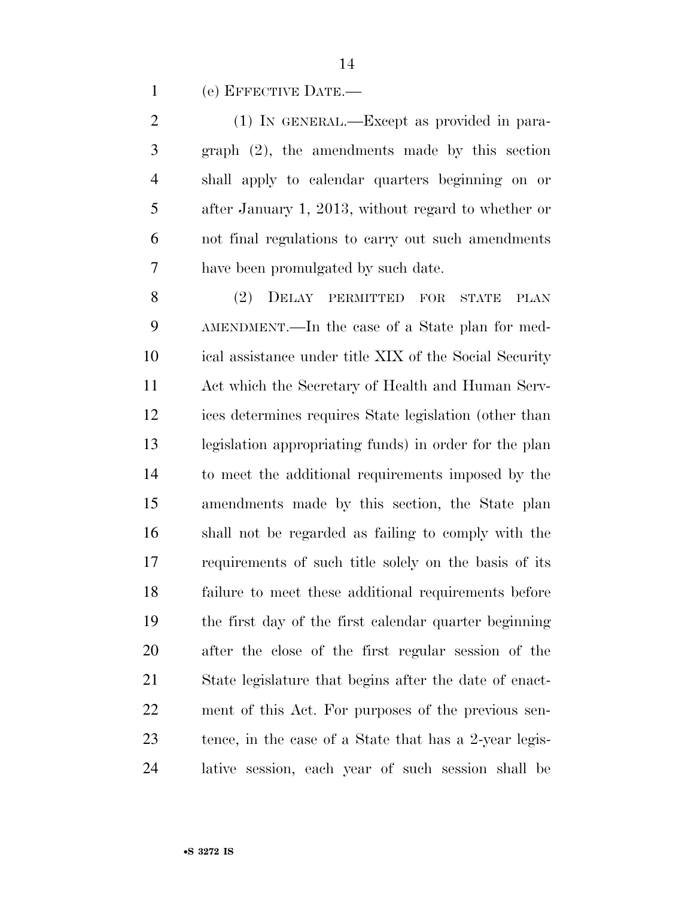(e) EFFECTIVE DATE.—

 (1) IN GENERAL.—Except as provided in para- graph (2), the amendments made by this section shall apply to calendar quarters beginning on or after January 1, 2013, without regard to whether or not final regulations to carry out such amendments have been promulgated by such date.

 (2) DELAY PERMITTED FOR STATE PLAN AMENDMENT.—In the case of a State plan for med- ical assistance under title XIX of the Social Security Act which the Secretary of Health and Human Serv- ices determines requires State legislation (other than legislation appropriating funds) in order for the plan to meet the additional requirements imposed by the amendments made by this section, the State plan shall not be regarded as failing to comply with the requirements of such title solely on the basis of its failure to meet these additional requirements before the first day of the first calendar quarter beginning after the close of the first regular session of the State legislature that begins after the date of enact- ment of this Act. For purposes of the previous sen- tence, in the case of a State that has a 2-year legis-lative session, each year of such session shall be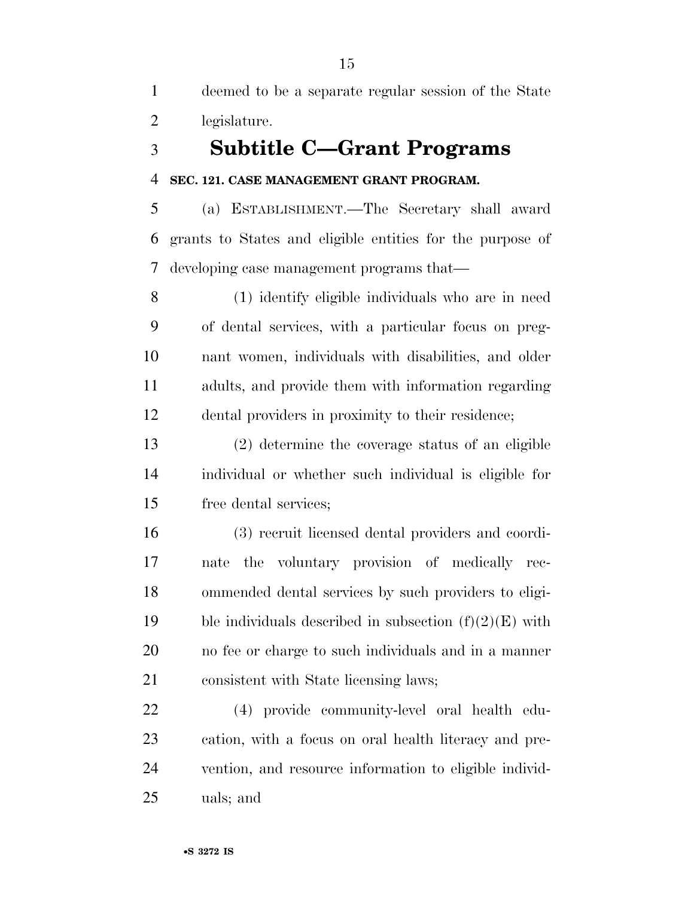deemed to be a separate regular session of the State legislature.

## **Subtitle C—Grant Programs**

### **SEC. 121. CASE MANAGEMENT GRANT PROGRAM.**

 (a) ESTABLISHMENT.—The Secretary shall award grants to States and eligible entities for the purpose of developing case management programs that—

 (1) identify eligible individuals who are in need of dental services, with a particular focus on preg- nant women, individuals with disabilities, and older adults, and provide them with information regarding dental providers in proximity to their residence;

 (2) determine the coverage status of an eligible individual or whether such individual is eligible for free dental services;

 (3) recruit licensed dental providers and coordi- nate the voluntary provision of medically rec- ommended dental services by such providers to eligi-19 ble individuals described in subsection  $(f)(2)(E)$  with no fee or charge to such individuals and in a manner consistent with State licensing laws;

 (4) provide community-level oral health edu- cation, with a focus on oral health literacy and pre- vention, and resource information to eligible individ-uals; and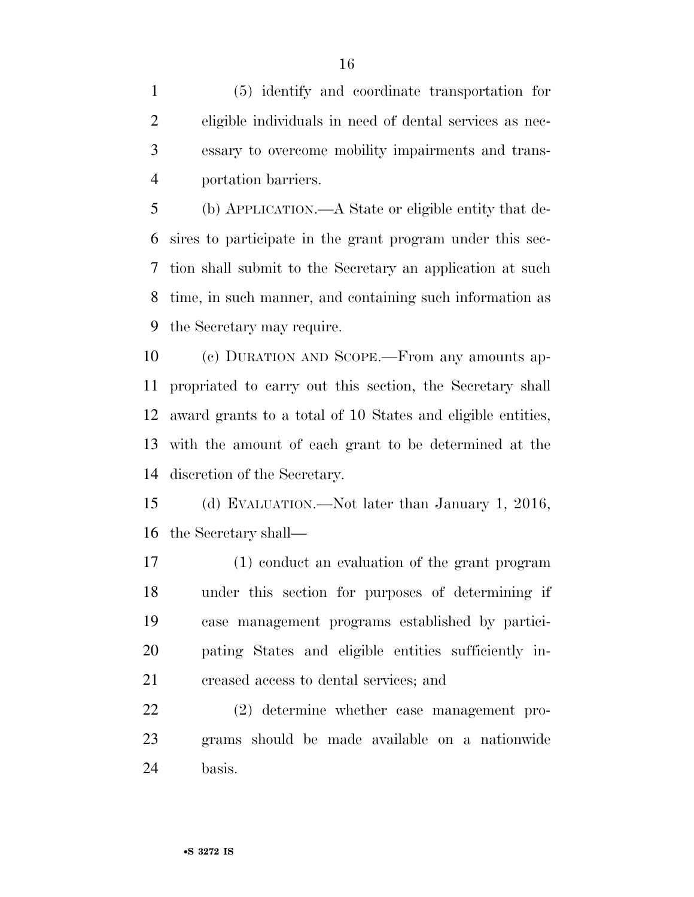(5) identify and coordinate transportation for eligible individuals in need of dental services as nec- essary to overcome mobility impairments and trans-portation barriers.

 (b) APPLICATION.—A State or eligible entity that de- sires to participate in the grant program under this sec- tion shall submit to the Secretary an application at such time, in such manner, and containing such information as the Secretary may require.

 (c) DURATION AND SCOPE.—From any amounts ap- propriated to carry out this section, the Secretary shall award grants to a total of 10 States and eligible entities, with the amount of each grant to be determined at the discretion of the Secretary.

 (d) EVALUATION.—Not later than January 1, 2016, the Secretary shall—

 (1) conduct an evaluation of the grant program under this section for purposes of determining if case management programs established by partici- pating States and eligible entities sufficiently in-creased access to dental services; and

 (2) determine whether case management pro- grams should be made available on a nationwide basis.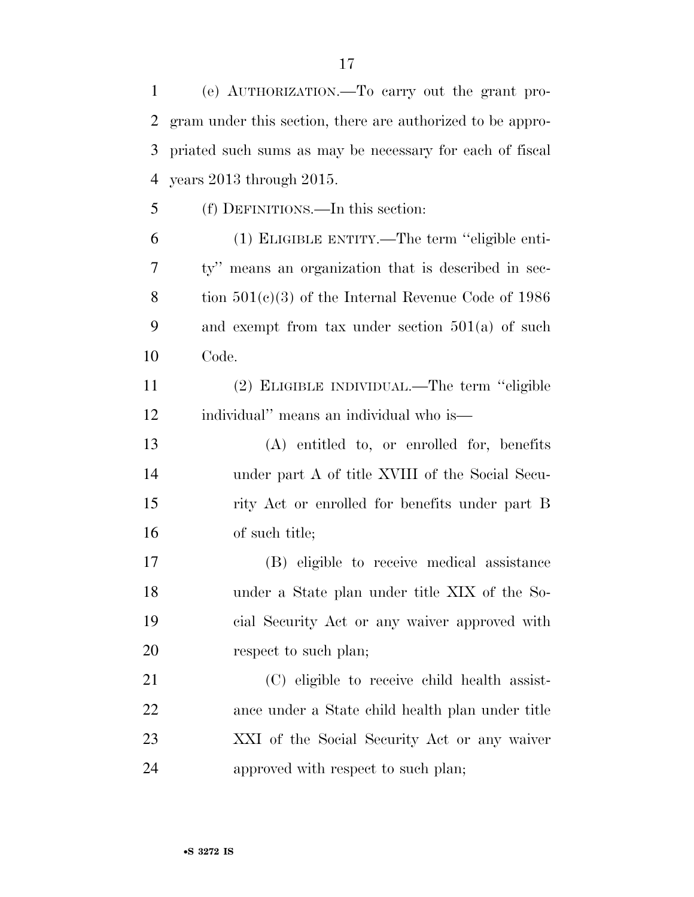(e) AUTHORIZATION.—To carry out the grant pro- gram under this section, there are authorized to be appro- priated such sums as may be necessary for each of fiscal years 2013 through 2015. (f) DEFINITIONS.—In this section:

 (1) ELIGIBLE ENTITY.—The term ''eligible enti- ty'' means an organization that is described in sec- tion 501(c)(3) of the Internal Revenue Code of 1986 and exempt from tax under section 501(a) of such Code.

 (2) ELIGIBLE INDIVIDUAL.—The term ''eligible individual'' means an individual who is—

 (A) entitled to, or enrolled for, benefits under part A of title XVIII of the Social Secu- rity Act or enrolled for benefits under part B of such title;

 (B) eligible to receive medical assistance under a State plan under title XIX of the So- cial Security Act or any waiver approved with 20 respect to such plan;

 (C) eligible to receive child health assist- ance under a State child health plan under title XXI of the Social Security Act or any waiver approved with respect to such plan;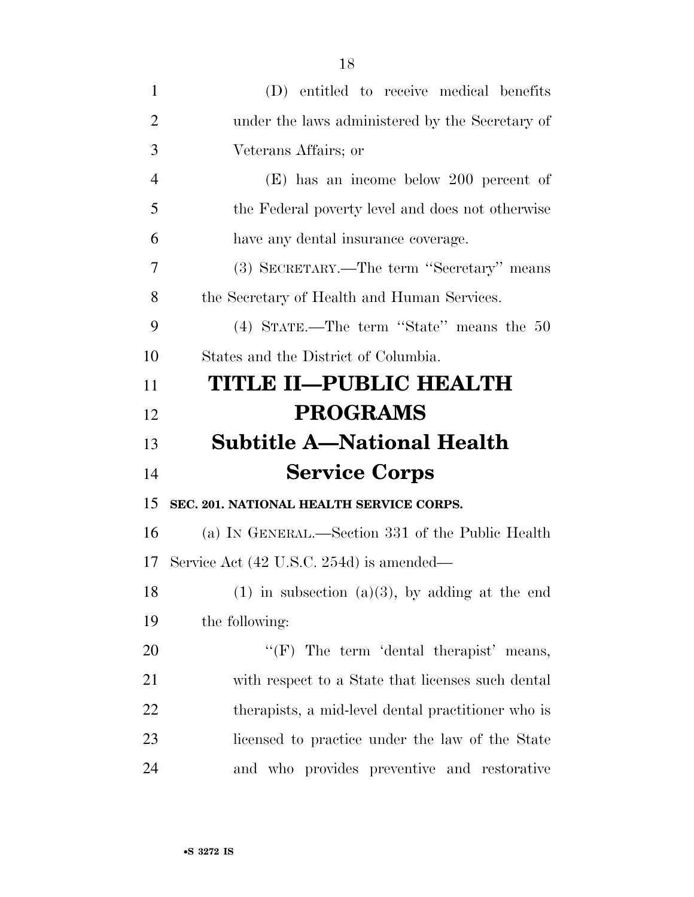| $\mathbf{1}$   | (D) entitled to receive medical benefits            |
|----------------|-----------------------------------------------------|
| $\overline{2}$ | under the laws administered by the Secretary of     |
| 3              | Veterans Affairs; or                                |
| $\overline{4}$ | $(E)$ has an income below 200 percent of            |
| 5              | the Federal poverty level and does not otherwise    |
| 6              | have any dental insurance coverage.                 |
| 7              | (3) SECRETARY.—The term "Secretary" means           |
| 8              | the Secretary of Health and Human Services.         |
| 9              | (4) STATE.—The term "State" means the 50            |
| 10             | States and the District of Columbia.                |
| 11             | <b>TITLE II—PUBLIC HEALTH</b>                       |
| 12             | <b>PROGRAMS</b>                                     |
|                |                                                     |
|                | <b>Subtitle A—National Health</b>                   |
| 13<br>14       | <b>Service Corps</b>                                |
| 15             | SEC. 201. NATIONAL HEALTH SERVICE CORPS.            |
| 16             | (a) IN GENERAL.—Section 331 of the Public Health    |
| 17             | Service Act (42 U.S.C. 254d) is amended—            |
| 18             | $(1)$ in subsection $(a)(3)$ , by adding at the end |
| 19             | the following:                                      |
| 20             | " $(F)$ The term 'dental therapist' means,          |
| 21             | with respect to a State that licenses such dental   |
| 22             | therapists, a mid-level dental practitioner who is  |
| 23             | licensed to practice under the law of the State     |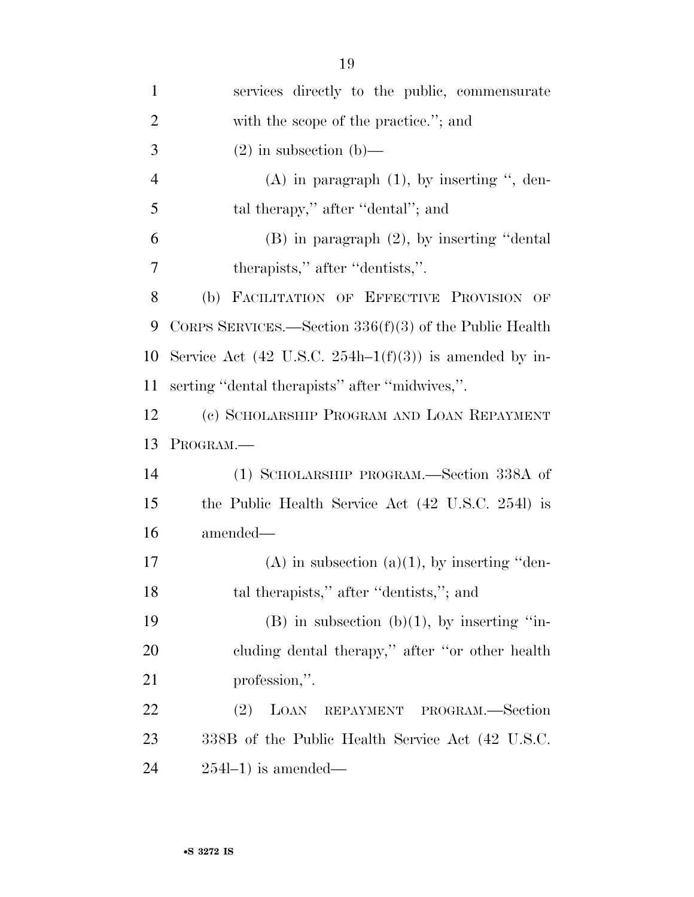| $\mathbf{1}$   | services directly to the public, commensurate              |
|----------------|------------------------------------------------------------|
| $\overline{2}$ | with the scope of the practice."; and                      |
| 3              | $(2)$ in subsection $(b)$ —                                |
| $\overline{4}$ | $(A)$ in paragraph $(1)$ , by inserting ", den-            |
| 5              | tal therapy," after "dental"; and                          |
| 6              | $(B)$ in paragraph $(2)$ , by inserting "dental            |
| 7              | therapists," after "dentists,".                            |
| 8              | (b) FACILITATION OF EFFECTIVE PROVISION OF                 |
| 9              | CORPS SERVICES.—Section $336(f)(3)$ of the Public Health   |
| 10             | Service Act (42 U.S.C. 254h–1 $(f)(3)$ ) is amended by in- |
| 11             | serting "dental therapists" after "midwives,".             |
| 12             | (c) SCHOLARSHIP PROGRAM AND LOAN REPAYMENT                 |
| 13             | PROGRAM.                                                   |
| 14             | (1) SCHOLARSHIP PROGRAM.—Section 338A of                   |
| 15             | the Public Health Service Act (42 U.S.C. 2541) is          |
| 16             | amended—                                                   |
| 17             | $(A)$ in subsection $(a)(1)$ , by inserting "den-          |
| 18             | tal therapists," after "dentists,"; and                    |
| 19             | $(B)$ in subsection $(b)(1)$ , by inserting "in-           |
| 20             | cluding dental therapy," after "or other health            |
| 21             | profession,".                                              |
| 22             | (2)<br>LOAN<br>REPAYMENT PROGRAM.-Section                  |
| 23             | 338B of the Public Health Service Act (42 U.S.C.           |
| 24             | $254l-1$ ) is amended—                                     |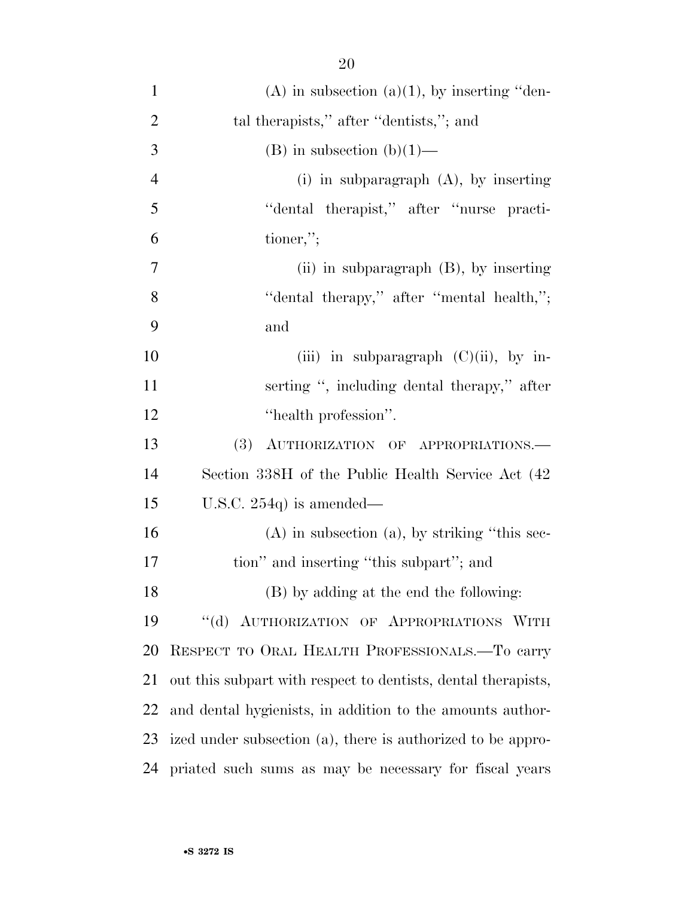| $\mathbf{1}$   | $(A)$ in subsection $(a)(1)$ , by inserting "den-             |
|----------------|---------------------------------------------------------------|
| $\overline{2}$ | tal therapists," after "dentists,"; and                       |
| 3              | (B) in subsection (b) $(1)$ —                                 |
| $\overline{4}$ | $(i)$ in subparagraph $(A)$ , by inserting                    |
| 5              | "dental therapist," after "nurse practi-                      |
| 6              | tioner,";                                                     |
| 7              | (ii) in subparagraph $(B)$ , by inserting                     |
| 8              | "dental therapy," after "mental health,";                     |
| 9              | and                                                           |
| 10             | (iii) in subparagraph $(C)(ii)$ , by in-                      |
| 11             | serting ", including dental therapy," after                   |
| 12             | "health profession".                                          |
| 13             | (3) AUTHORIZATION OF APPROPRIATIONS.                          |
| 14             | Section 338H of the Public Health Service Act (42)            |
| 15             | U.S.C. $254q$ is amended—                                     |
| 16             | $(A)$ in subsection $(a)$ , by striking "this sec-            |
| 17             | tion" and inserting "this subpart"; and                       |
| 18             | (B) by adding at the end the following:                       |
| 19             | "(d) AUTHORIZATION OF APPROPRIATIONS WITH                     |
| 20             | RESPECT TO ORAL HEALTH PROFESSIONALS.-To carry                |
| 21             | out this subpart with respect to dentists, dental therapists, |
| 22             | and dental hygienists, in addition to the amounts author-     |
| 23             | ized under subsection (a), there is authorized to be appro-   |
| 24             | priated such sums as may be necessary for fiscal years        |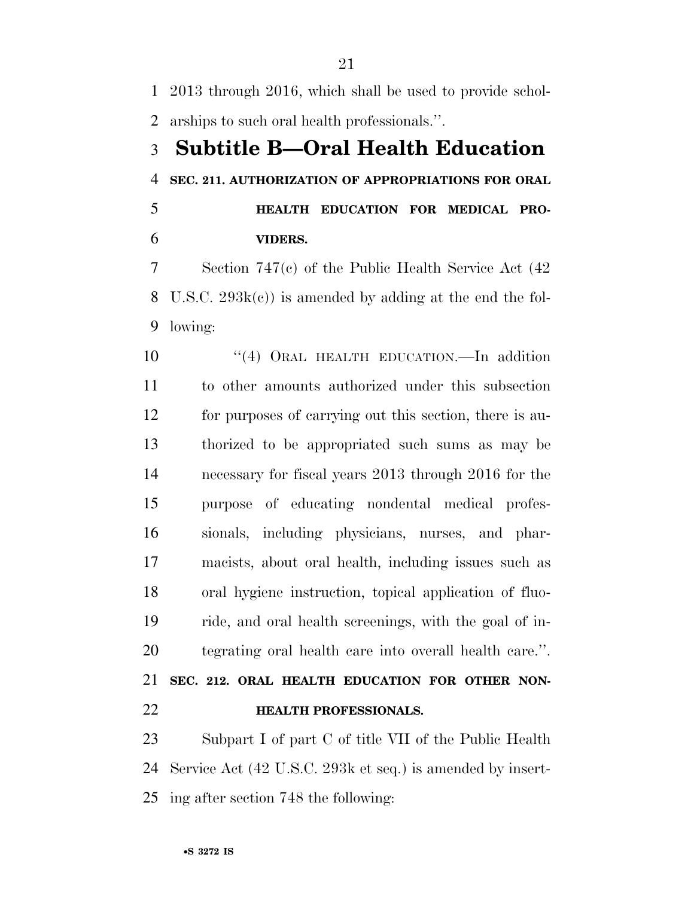2013 through 2016, which shall be used to provide schol-arships to such oral health professionals.''.

# **Subtitle B—Oral Health Education SEC. 211. AUTHORIZATION OF APPROPRIATIONS FOR ORAL**

 **HEALTH EDUCATION FOR MEDICAL PRO-VIDERS.** 

 Section 747(c) of the Public Health Service Act (42 U.S.C. 293k(c)) is amended by adding at the end the fol-lowing:

10 "(4) ORAL HEALTH EDUCATION.—In addition to other amounts authorized under this subsection for purposes of carrying out this section, there is au- thorized to be appropriated such sums as may be necessary for fiscal years 2013 through 2016 for the purpose of educating nondental medical profes- sionals, including physicians, nurses, and phar- macists, about oral health, including issues such as oral hygiene instruction, topical application of fluo- ride, and oral health screenings, with the goal of in- tegrating oral health care into overall health care.''. **SEC. 212. ORAL HEALTH EDUCATION FOR OTHER NON-**

**HEALTH PROFESSIONALS.** 

 Subpart I of part C of title VII of the Public Health Service Act (42 U.S.C. 293k et seq.) is amended by insert-ing after section 748 the following: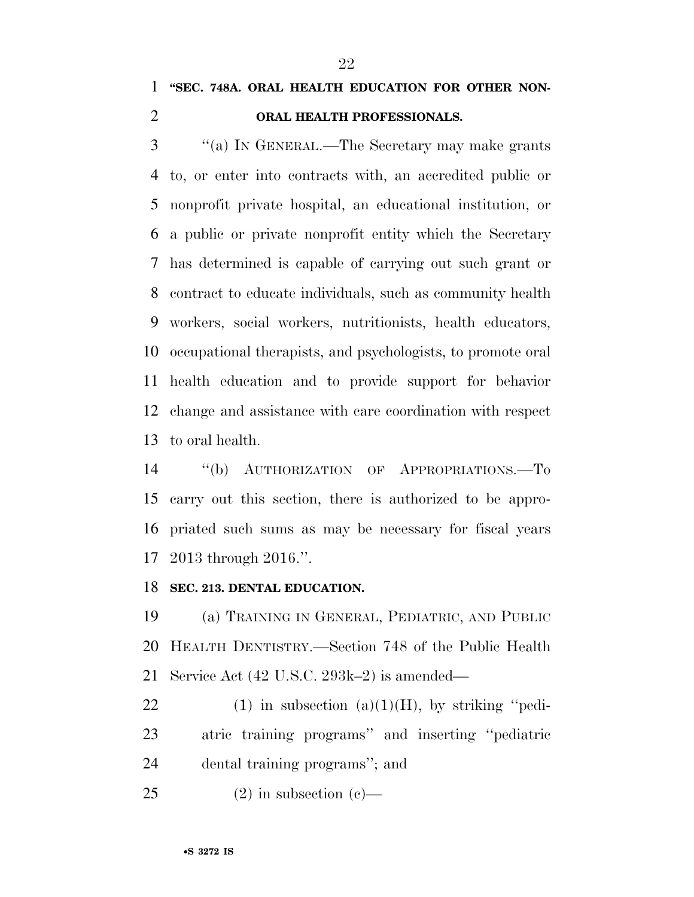## **''SEC. 748A. ORAL HEALTH EDUCATION FOR OTHER NON-**

## **ORAL HEALTH PROFESSIONALS.**

 ''(a) IN GENERAL.—The Secretary may make grants to, or enter into contracts with, an accredited public or nonprofit private hospital, an educational institution, or a public or private nonprofit entity which the Secretary has determined is capable of carrying out such grant or contract to educate individuals, such as community health workers, social workers, nutritionists, health educators, occupational therapists, and psychologists, to promote oral health education and to provide support for behavior change and assistance with care coordination with respect to oral health.

 ''(b) AUTHORIZATION OF APPROPRIATIONS.—To carry out this section, there is authorized to be appro- priated such sums as may be necessary for fiscal years 2013 through 2016.''.

#### **SEC. 213. DENTAL EDUCATION.**

 (a) TRAINING IN GENERAL, PEDIATRIC, AND PUBLIC HEALTH DENTISTRY.—Section 748 of the Public Health Service Act (42 U.S.C. 293k–2) is amended—

22 (1) in subsection  $(a)(1)(H)$ , by striking "pedi- atric training programs'' and inserting ''pediatric dental training programs''; and

25 (2) in subsection (c)—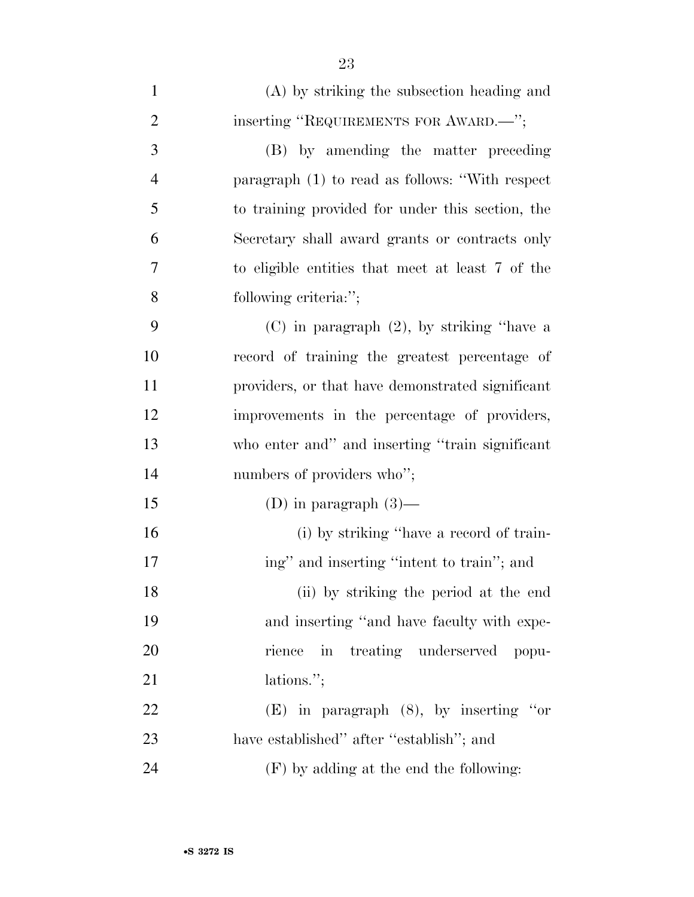| $\mathbf{1}$   | (A) by striking the subsection heading and       |
|----------------|--------------------------------------------------|
| $\overline{2}$ | inserting "REQUIREMENTS FOR AWARD.—";            |
| 3              | (B) by amending the matter preceding             |
| $\overline{4}$ | paragraph (1) to read as follows: "With respect  |
| 5              | to training provided for under this section, the |
| 6              | Secretary shall award grants or contracts only   |
| 7              | to eligible entities that meet at least 7 of the |
| 8              | following criteria:";                            |
| 9              | $(C)$ in paragraph $(2)$ , by striking "have a   |
| 10             | record of training the greatest percentage of    |
| 11             | providers, or that have demonstrated significant |
| 12             | improvements in the percentage of providers,     |
| 13             | who enter and" and inserting "train significant  |
| 14             | numbers of providers who";                       |
| 15             | (D) in paragraph $(3)$ —                         |
| 16             | (i) by striking "have a record of train-         |
| 17             | ing" and inserting "intent to train"; and        |
| 18             | (ii) by striking the period at the end           |
| 19             | and inserting "and have faculty with expe-       |
| 20             | rience in treating underserved popu-             |
| 21             | lations.";                                       |
| 22             | $(E)$ in paragraph $(8)$ , by inserting "or      |
| 23             | have established" after "establish"; and         |
| 24             | $(F)$ by adding at the end the following:        |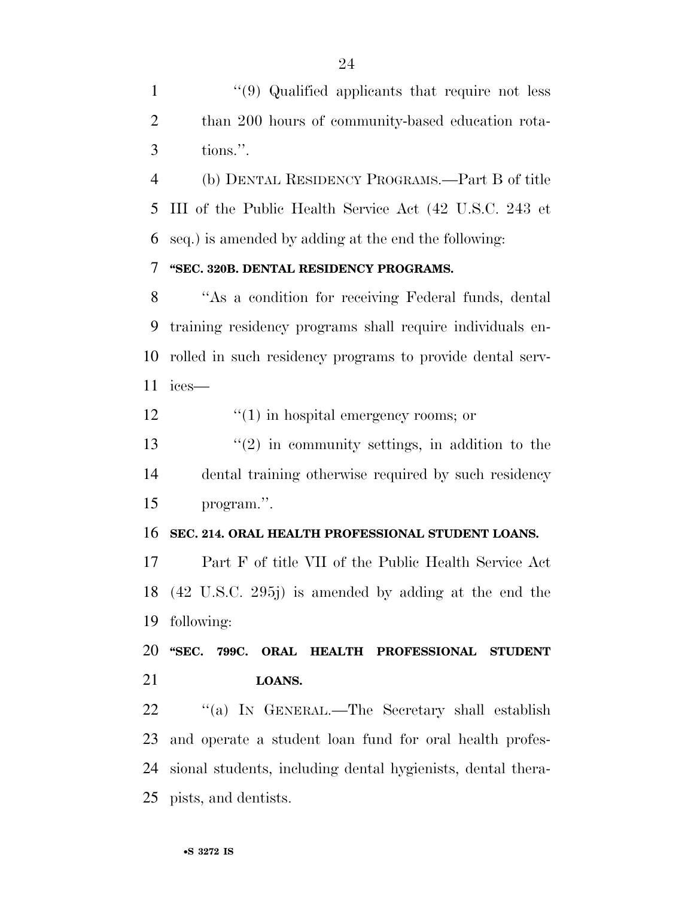1 ''(9) Qualified applicants that require not less than 200 hours of community-based education rota-tions.''.

 (b) DENTAL RESIDENCY PROGRAMS.—Part B of title III of the Public Health Service Act (42 U.S.C. 243 et seq.) is amended by adding at the end the following:

## **''SEC. 320B. DENTAL RESIDENCY PROGRAMS.**

 ''As a condition for receiving Federal funds, dental training residency programs shall require individuals en- rolled in such residency programs to provide dental serv-ices—

12  $\frac{1}{2}$   $\frac{1}{2}$   $\frac{1}{2}$  in hospital emergency rooms; or

 $\frac{13}{2}$  ''(2) in community settings, in addition to the dental training otherwise required by such residency program.''.

#### **SEC. 214. ORAL HEALTH PROFESSIONAL STUDENT LOANS.**

 Part F of title VII of the Public Health Service Act (42 U.S.C. 295j) is amended by adding at the end the following:

 **''SEC. 799C. ORAL HEALTH PROFESSIONAL STUDENT LOANS.** 

 ''(a) IN GENERAL.—The Secretary shall establish and operate a student loan fund for oral health profes- sional students, including dental hygienists, dental thera-pists, and dentists.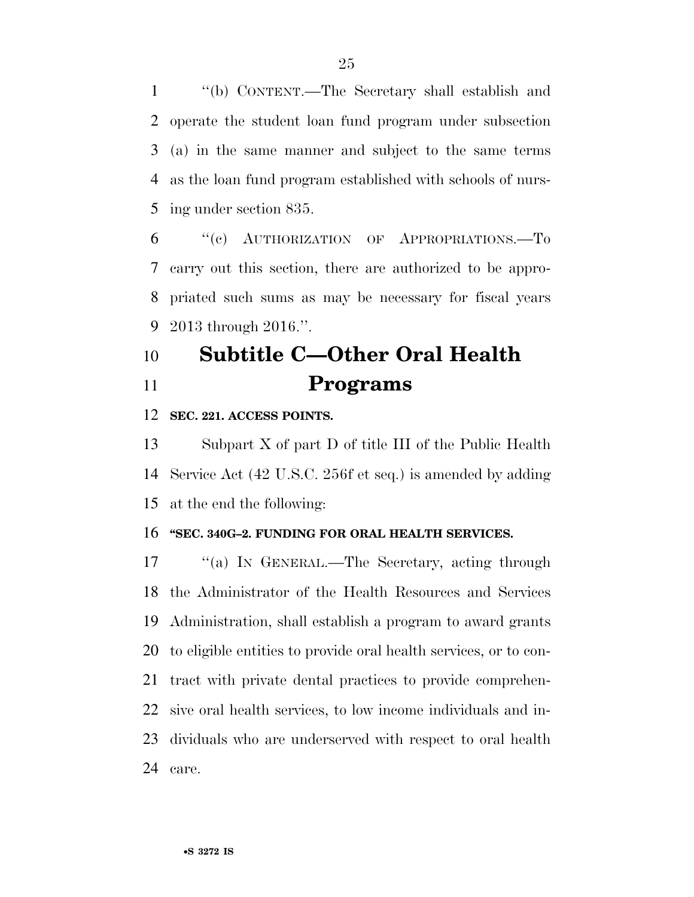''(b) CONTENT.—The Secretary shall establish and operate the student loan fund program under subsection (a) in the same manner and subject to the same terms as the loan fund program established with schools of nurs-ing under section 835.

 ''(c) AUTHORIZATION OF APPROPRIATIONS.—To carry out this section, there are authorized to be appro- priated such sums as may be necessary for fiscal years 2013 through 2016.''.

## **Subtitle C—Other Oral Health Programs**

### **SEC. 221. ACCESS POINTS.**

 Subpart X of part D of title III of the Public Health Service Act (42 U.S.C. 256f et seq.) is amended by adding at the end the following:

#### **''SEC. 340G–2. FUNDING FOR ORAL HEALTH SERVICES.**

 ''(a) IN GENERAL.—The Secretary, acting through the Administrator of the Health Resources and Services Administration, shall establish a program to award grants to eligible entities to provide oral health services, or to con- tract with private dental practices to provide comprehen- sive oral health services, to low income individuals and in- dividuals who are underserved with respect to oral health care.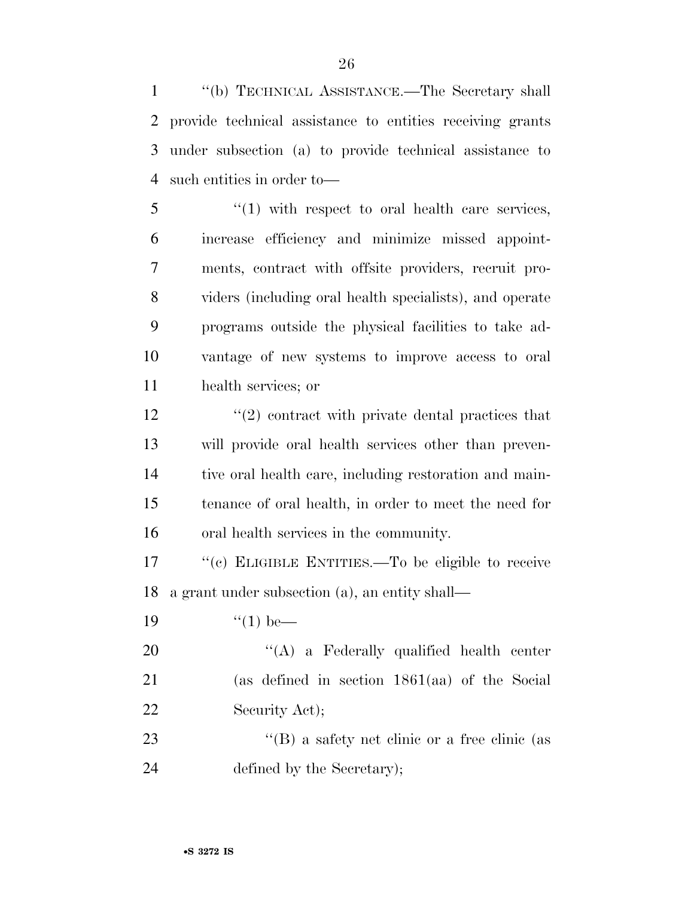''(b) TECHNICAL ASSISTANCE.—The Secretary shall provide technical assistance to entities receiving grants under subsection (a) to provide technical assistance to such entities in order to—

 ''(1) with respect to oral health care services, increase efficiency and minimize missed appoint- ments, contract with offsite providers, recruit pro- viders (including oral health specialists), and operate programs outside the physical facilities to take ad- vantage of new systems to improve access to oral health services; or

 $\frac{12}{2}$  ''(2) contract with private dental practices that will provide oral health services other than preven- tive oral health care, including restoration and main- tenance of oral health, in order to meet the need for oral health services in the community.

17  $\langle (c)$  ELIGIBLE ENTITIES.—To be eligible to receive a grant under subsection (a), an entity shall—

19  $\frac{1}{2}$   $\frac{1}{2}$   $\frac{1}{2}$  be—

20 "'(A) a Federally qualified health center (as defined in section 1861(aa) of the Social 22 Security Act);

23 ''(B) a safety net clinic or a free clinic (as defined by the Secretary);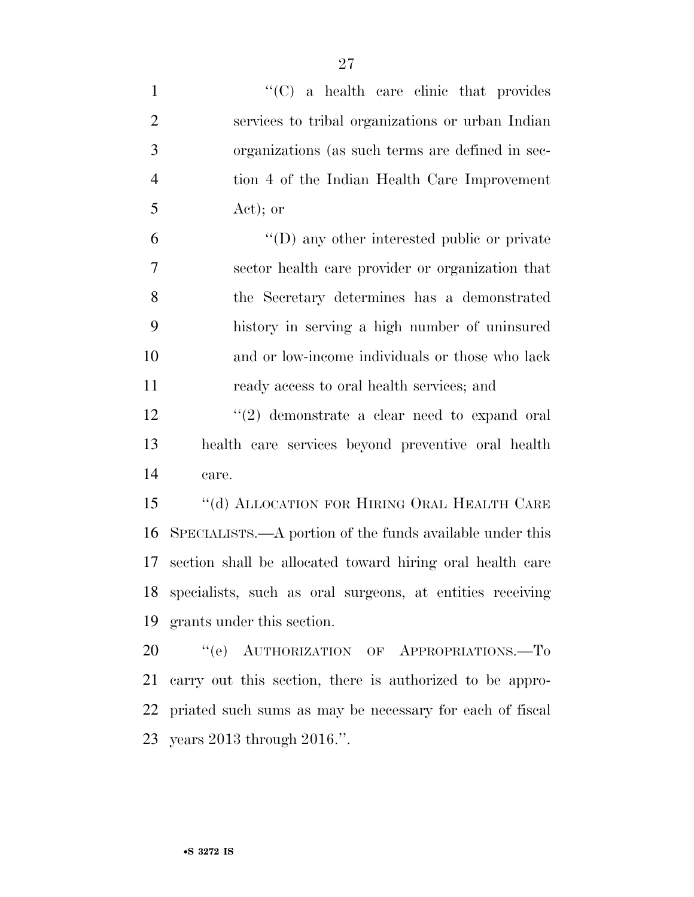| $\mathbf{1}$   | $\cdot$ (C) a health care clinic that provides               |
|----------------|--------------------------------------------------------------|
| $\overline{2}$ | services to tribal organizations or urban Indian             |
| 3              | organizations (as such terms are defined in sec-             |
| $\overline{4}$ | tion 4 of the Indian Health Care Improvement                 |
| 5              | $Act)$ ; or                                                  |
| 6              | $\lq\lq$ (D) any other interested public or private          |
| $\tau$         | sector health care provider or organization that             |
| 8              | the Secretary determines has a demonstrated                  |
| 9              | history in serving a high number of uninsured                |
| 10             | and or low-income individuals or those who lack              |
| 11             | ready access to oral health services; and                    |
| 12             | $\cdot\cdot\cdot(2)$ demonstrate a clear need to expand oral |
| 13             | health care services beyond preventive oral health           |
| 14             | care.                                                        |
| 15             | $\lq\lq$ (d) ALLOCATION FOR HIRING ORAL HEALTH CARE          |
| 16             | SPECIALISTS.—A portion of the funds available under this     |
| 17             | section shall be allocated toward hiring oral health care    |
|                | 18 specialists, such as oral surgeons, at entities receiving |
| 19             | grants under this section.                                   |
| 20             | "(e) AUTHORIZATION OF APPROPRIATIONS.-To                     |
| 21             | carry out this section, there is authorized to be appro-     |
| 22             | priated such sums as may be necessary for each of fiscal     |
|                | 23 years 2013 through 2016.".                                |
|                |                                                              |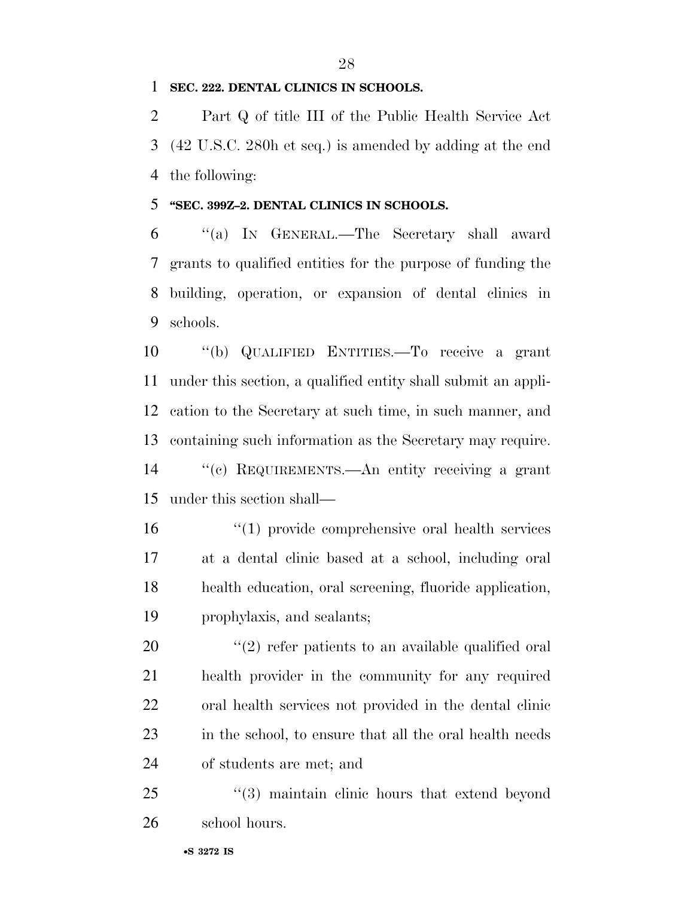### **SEC. 222. DENTAL CLINICS IN SCHOOLS.**

 Part Q of title III of the Public Health Service Act (42 U.S.C. 280h et seq.) is amended by adding at the end the following:

### **''SEC. 399Z–2. DENTAL CLINICS IN SCHOOLS.**

 ''(a) IN GENERAL.—The Secretary shall award grants to qualified entities for the purpose of funding the building, operation, or expansion of dental clinics in schools.

 ''(b) QUALIFIED ENTITIES.—To receive a grant under this section, a qualified entity shall submit an appli- cation to the Secretary at such time, in such manner, and containing such information as the Secretary may require. ''(c) REQUIREMENTS.—An entity receiving a grant under this section shall—

 ''(1) provide comprehensive oral health services at a dental clinic based at a school, including oral health education, oral screening, fluoride application, prophylaxis, and sealants;

 $(2)$  refer patients to an available qualified oral health provider in the community for any required oral health services not provided in the dental clinic 23 in the school, to ensure that all the oral health needs of students are met; and

25 "(3) maintain clinic hours that extend beyond school hours.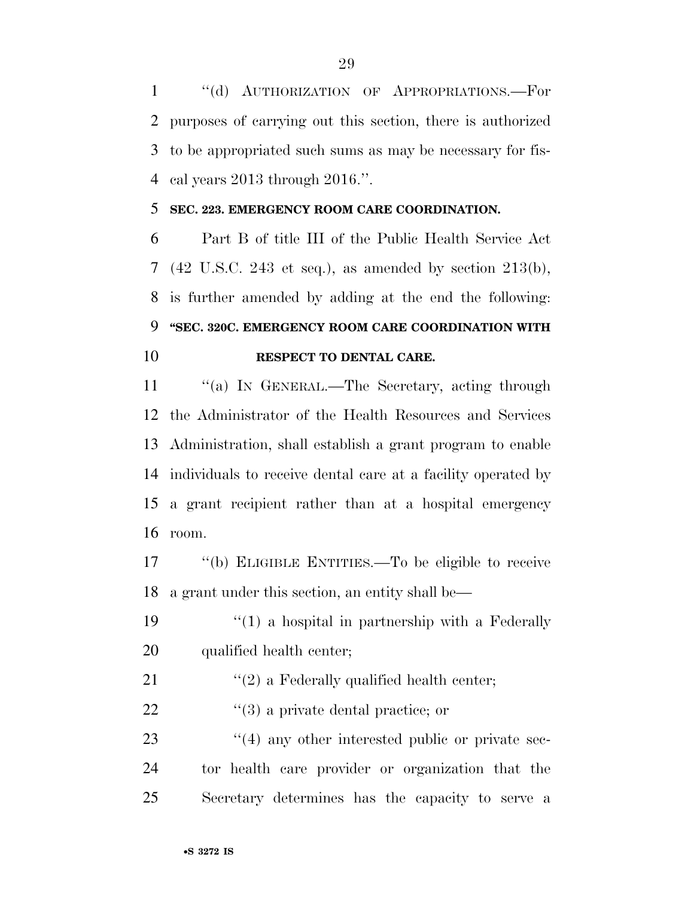''(d) AUTHORIZATION OF APPROPRIATIONS.—For purposes of carrying out this section, there is authorized to be appropriated such sums as may be necessary for fis-cal years 2013 through 2016.''.

### **SEC. 223. EMERGENCY ROOM CARE COORDINATION.**

 Part B of title III of the Public Health Service Act (42 U.S.C. 243 et seq.), as amended by section 213(b), is further amended by adding at the end the following: **''SEC. 320C. EMERGENCY ROOM CARE COORDINATION WITH RESPECT TO DENTAL CARE.** 

11 "(a) IN GENERAL.—The Secretary, acting through the Administrator of the Health Resources and Services Administration, shall establish a grant program to enable individuals to receive dental care at a facility operated by a grant recipient rather than at a hospital emergency room.

 ''(b) ELIGIBLE ENTITIES.—To be eligible to receive a grant under this section, an entity shall be—

19  $\frac{1}{2}$  (1) a hospital in partnership with a Federally qualified health center;

- 21  $\frac{1}{2}$  a Federally qualified health center;
- 22  $\frac{1}{2}$   $\frac{1}{3}$  a private dental practice; or

23 ''(4) any other interested public or private sec- tor health care provider or organization that the Secretary determines has the capacity to serve a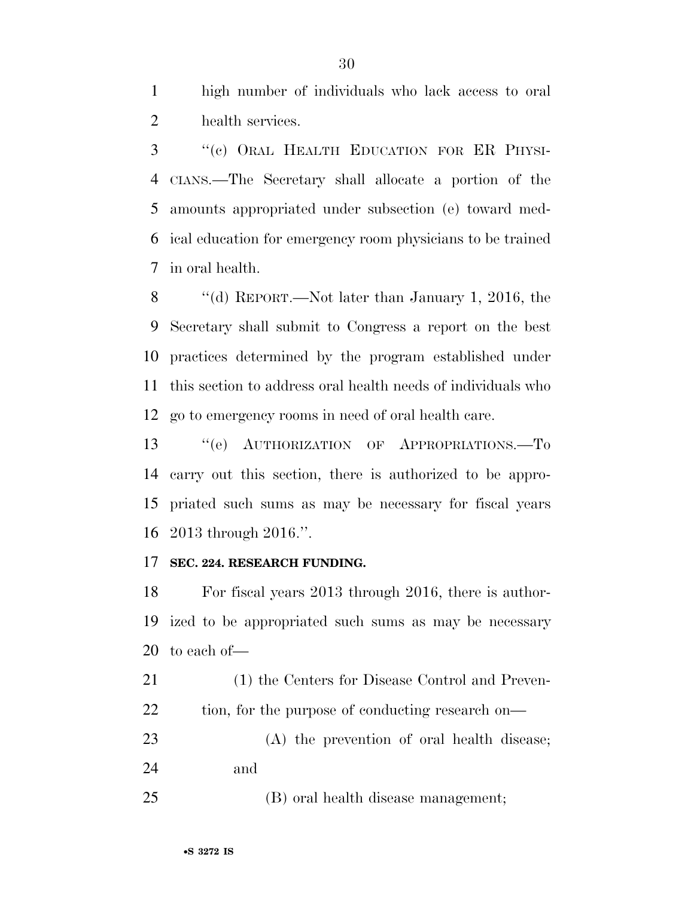high number of individuals who lack access to oral health services.

 ''(c) ORAL HEALTH EDUCATION FOR ER PHYSI- CIANS.—The Secretary shall allocate a portion of the amounts appropriated under subsection (e) toward med- ical education for emergency room physicians to be trained in oral health.

 ''(d) REPORT.—Not later than January 1, 2016, the Secretary shall submit to Congress a report on the best practices determined by the program established under this section to address oral health needs of individuals who go to emergency rooms in need of oral health care.

13 "(e) AUTHORIZATION OF APPROPRIATIONS.-To carry out this section, there is authorized to be appro- priated such sums as may be necessary for fiscal years 2013 through 2016.''.

### **SEC. 224. RESEARCH FUNDING.**

 For fiscal years 2013 through 2016, there is author- ized to be appropriated such sums as may be necessary to each of—

 (1) the Centers for Disease Control and Preven-22 tion, for the purpose of conducting research on—

 (A) the prevention of oral health disease; and

(B) oral health disease management;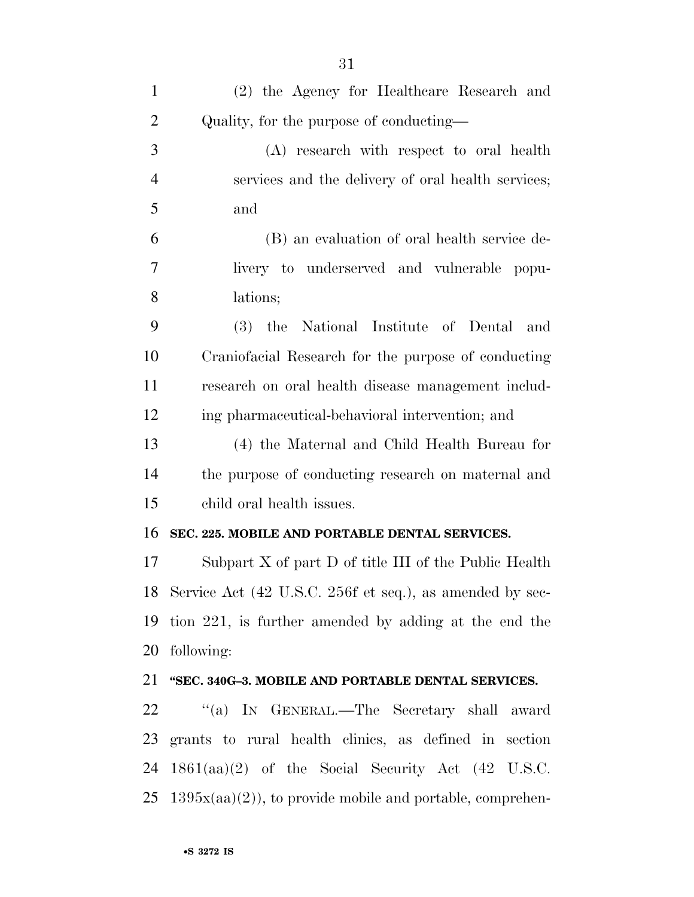| $\mathbf{1}$   | (2) the Agency for Healthcare Research and                              |
|----------------|-------------------------------------------------------------------------|
| $\overline{2}$ | Quality, for the purpose of conducting—                                 |
| 3              | (A) research with respect to oral health                                |
| $\overline{4}$ | services and the delivery of oral health services;                      |
| 5              | and                                                                     |
| 6              | (B) an evaluation of oral health service de-                            |
| $\overline{7}$ | livery to underserved and vulnerable popu-                              |
| 8              | lations;                                                                |
| 9              | (3) the National Institute of Dental and                                |
| 10             | Craniofacial Research for the purpose of conducting                     |
| 11             | research on oral health disease management includ-                      |
| 12             | ing pharmaceutical-behavioral intervention; and                         |
| 13             | (4) the Maternal and Child Health Bureau for                            |
| 14             | the purpose of conducting research on maternal and                      |
| 15             | child oral health issues.                                               |
| 16             | SEC. 225. MOBILE AND PORTABLE DENTAL SERVICES.                          |
| 17             | Subpart $X$ of part $D$ of title III of the Public Health               |
|                | 18 Service Act (42 U.S.C. 256f et seq.), as amended by sec-             |
| 19             | tion 221, is further amended by adding at the end the                   |
| 20             | following:                                                              |
|                | 21 "SEC. 340G-3. MOBILE AND PORTABLE DENTAL SERVICES.                   |
| 22             | "(a) IN GENERAL.—The Secretary shall award                              |
| 23             | grants to rural health clinics, as defined in section                   |
| 24             | $1861(aa)(2)$ of the Social Security Act (42 U.S.C.                     |
|                | $25 \text{ } 1395x(aa)(2)$ , to provide mobile and portable, comprehen- |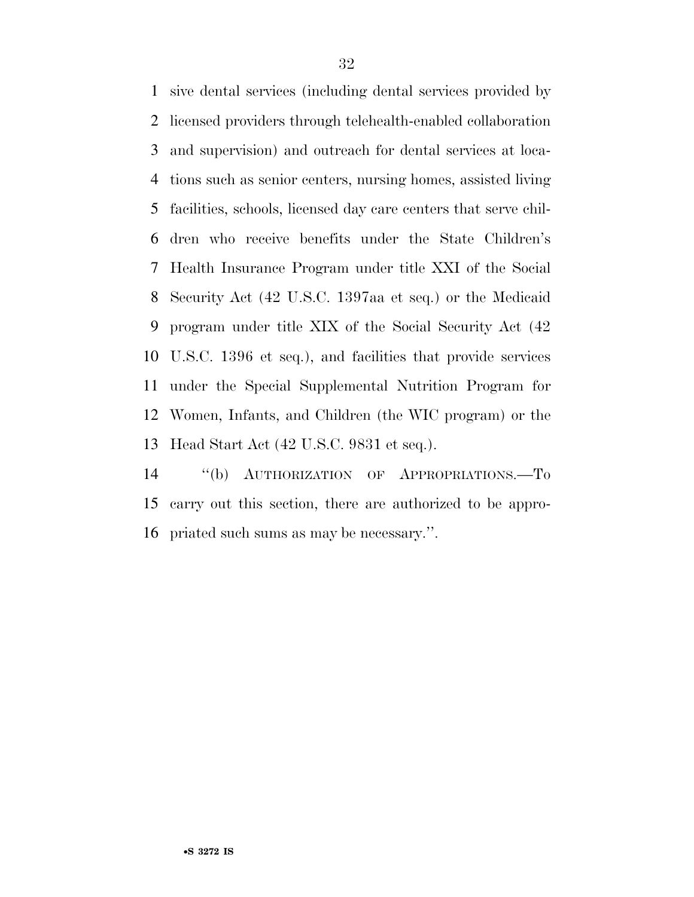sive dental services (including dental services provided by licensed providers through telehealth-enabled collaboration and supervision) and outreach for dental services at loca- tions such as senior centers, nursing homes, assisted living facilities, schools, licensed day care centers that serve chil- dren who receive benefits under the State Children's Health Insurance Program under title XXI of the Social Security Act (42 U.S.C. 1397aa et seq.) or the Medicaid program under title XIX of the Social Security Act (42 U.S.C. 1396 et seq.), and facilities that provide services under the Special Supplemental Nutrition Program for Women, Infants, and Children (the WIC program) or the Head Start Act (42 U.S.C. 9831 et seq.).

 ''(b) AUTHORIZATION OF APPROPRIATIONS.—To carry out this section, there are authorized to be appro-priated such sums as may be necessary.''.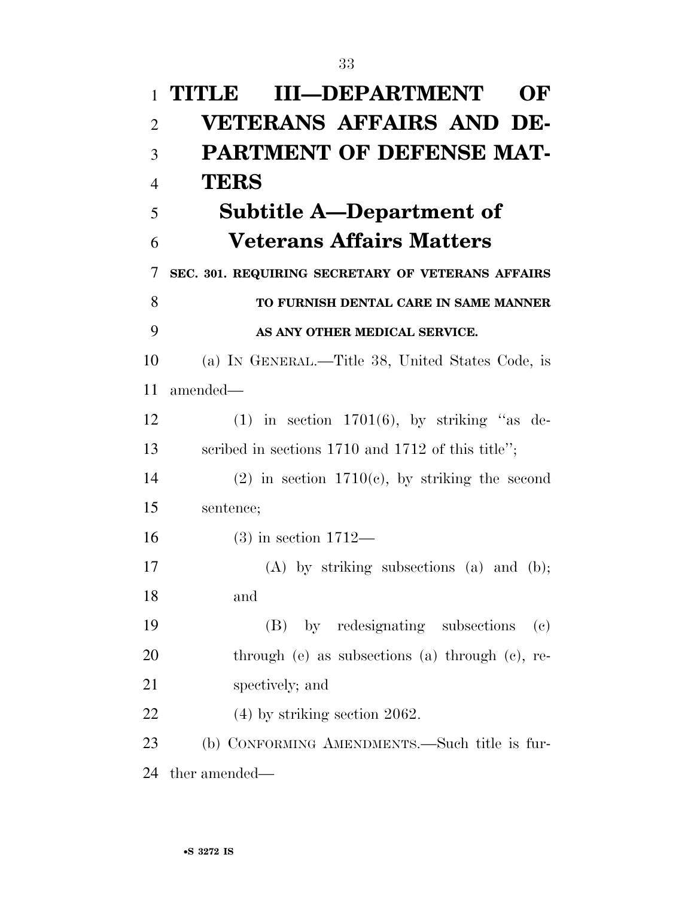| $\mathbf{1}$   | <b>III-DEPARTMENT</b><br>TITLE<br>OF                           |
|----------------|----------------------------------------------------------------|
| $\overline{2}$ | <b>VETERANS AFFAIRS AND DE-</b>                                |
| 3              | <b>PARTMENT OF DEFENSE MAT-</b>                                |
| $\overline{4}$ | <b>TERS</b>                                                    |
| 5              | Subtitle A—Department of                                       |
| 6              | <b>Veterans Affairs Matters</b>                                |
| 7              | SEC. 301. REQUIRING SECRETARY OF VETERANS AFFAIRS              |
| 8              | TO FURNISH DENTAL CARE IN SAME MANNER                          |
| 9              | AS ANY OTHER MEDICAL SERVICE.                                  |
| 10             | (a) IN GENERAL.—Title 38, United States Code, is               |
| 11             | amended—                                                       |
| 12             | $(1)$ in section 1701 $(6)$ , by striking "as de-              |
| 13             | scribed in sections 1710 and 1712 of this title";              |
| 14             | $(2)$ in section 1710(c), by striking the second               |
| 15             | sentence;                                                      |
| 16             | $(3)$ in section 1712—                                         |
| 17             | $(A)$ by striking subsections $(a)$ and $(b)$ ;                |
| 18             | and                                                            |
| 19             | (B) by redesignating subsections<br>$\left( \mathrm{e}\right)$ |
| 20             | through $(e)$ as subsections $(a)$ through $(e)$ , re-         |
| 21             | spectively; and                                                |
| 22             | $(4)$ by striking section 2062.                                |
| 23             | (b) CONFORMING AMENDMENTS.—Such title is fur-                  |
| 24             | ther amended—                                                  |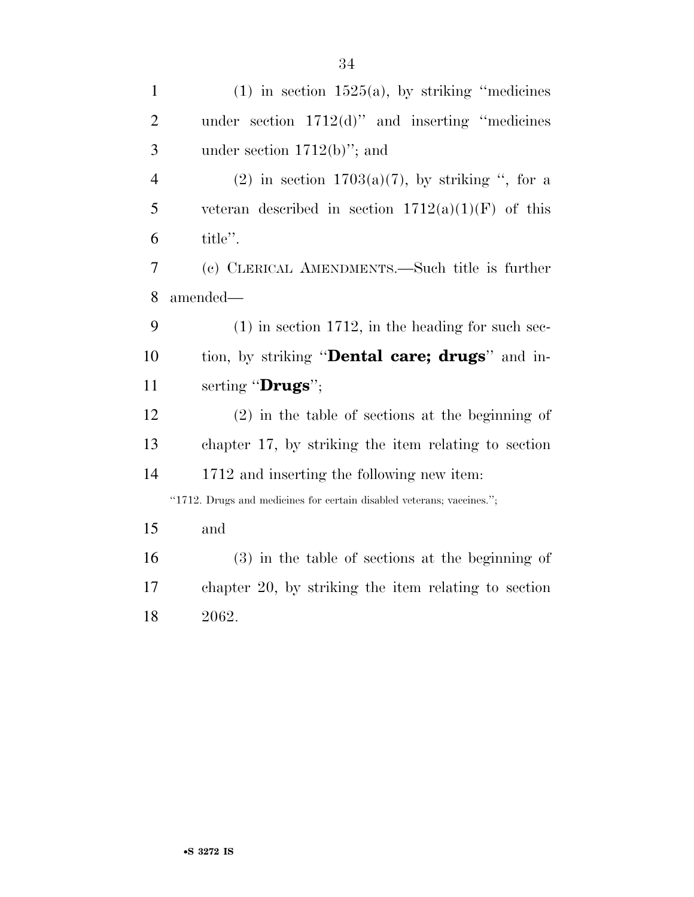| $\mathbf{1}$   | $(1)$ in section 1525(a), by striking "medicines"                     |
|----------------|-----------------------------------------------------------------------|
| $\overline{2}$ | under section $1712(d)$ " and inserting "medicines"                   |
| 3              | under section $1712(b)$ "; and                                        |
| $\overline{4}$ | (2) in section $1703(a)(7)$ , by striking ", for a                    |
| 5              | veteran described in section $1712(a)(1)(F)$ of this                  |
| 6              | title".                                                               |
| 7              | (c) CLERICAL AMENDMENTS.—Such title is further                        |
| 8              | amended-                                                              |
| 9              | $(1)$ in section 1712, in the heading for such sec-                   |
| 10             | tion, by striking " <b>Dental care; drugs</b> " and in-               |
| 11             | serting "Drugs";                                                      |
| 12             | $(2)$ in the table of sections at the beginning of                    |
| 13             | chapter 17, by striking the item relating to section                  |
| 14             | 1712 and inserting the following new item:                            |
|                | "1712. Drugs and medicines for certain disabled veterans; vaccines."; |
| 15             | and                                                                   |
| 16             | $(3)$ in the table of sections at the beginning of                    |
| 17             | chapter 20, by striking the item relating to section                  |
| 18             | 2062.                                                                 |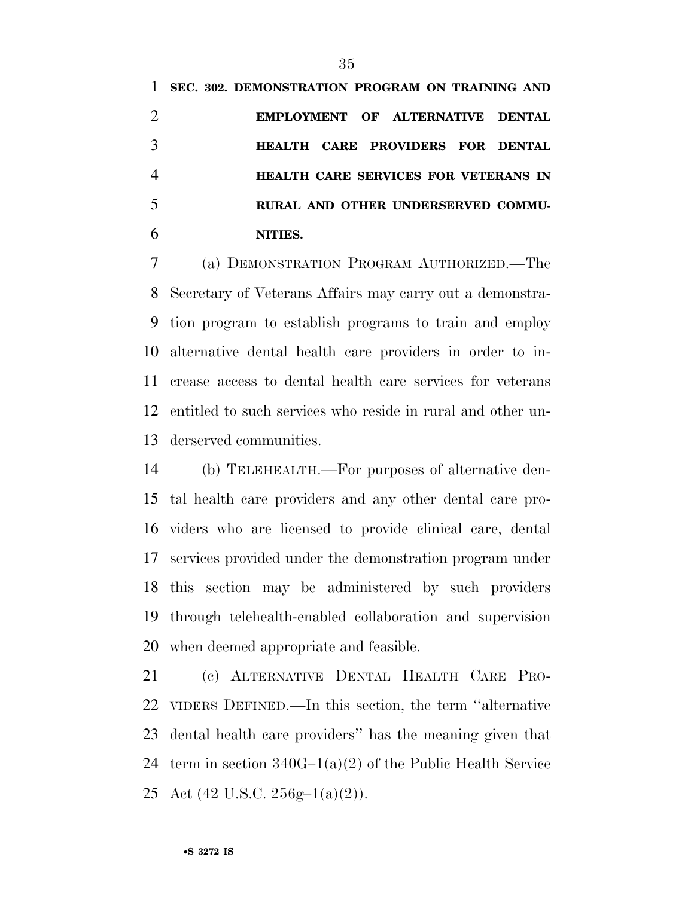**SEC. 302. DEMONSTRATION PROGRAM ON TRAINING AND EMPLOYMENT OF ALTERNATIVE DENTAL HEALTH CARE PROVIDERS FOR DENTAL HEALTH CARE SERVICES FOR VETERANS IN RURAL AND OTHER UNDERSERVED COMMU-NITIES.** 

 (a) DEMONSTRATION PROGRAM AUTHORIZED.—The Secretary of Veterans Affairs may carry out a demonstra- tion program to establish programs to train and employ alternative dental health care providers in order to in- crease access to dental health care services for veterans entitled to such services who reside in rural and other un-derserved communities.

 (b) TELEHEALTH.—For purposes of alternative den- tal health care providers and any other dental care pro- viders who are licensed to provide clinical care, dental services provided under the demonstration program under this section may be administered by such providers through telehealth-enabled collaboration and supervision when deemed appropriate and feasible.

 (c) ALTERNATIVE DENTAL HEALTH CARE PRO- VIDERS DEFINED.—In this section, the term ''alternative dental health care providers'' has the meaning given that term in section 340G–1(a)(2) of the Public Health Service 25 Act  $(42 \text{ U.S.C. } 256 \text{g} - 1(a)(2))$ .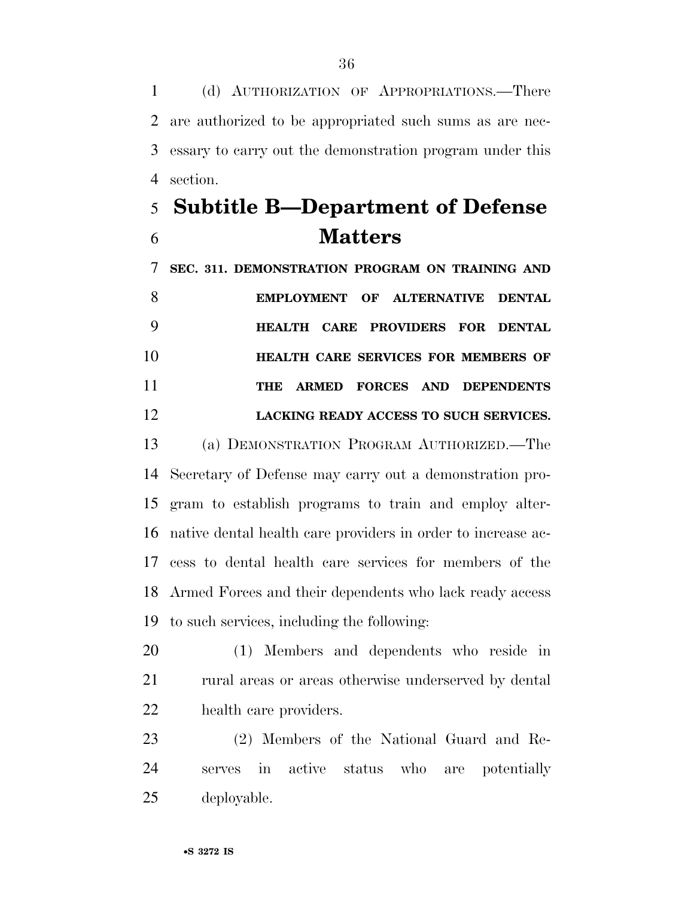(d) AUTHORIZATION OF APPROPRIATIONS.—There are authorized to be appropriated such sums as are nec- essary to carry out the demonstration program under this section.

## **Subtitle B—Department of Defense Matters**

 **SEC. 311. DEMONSTRATION PROGRAM ON TRAINING AND EMPLOYMENT OF ALTERNATIVE DENTAL HEALTH CARE PROVIDERS FOR DENTAL HEALTH CARE SERVICES FOR MEMBERS OF THE ARMED FORCES AND DEPENDENTS LACKING READY ACCESS TO SUCH SERVICES.** 

 (a) DEMONSTRATION PROGRAM AUTHORIZED.—The Secretary of Defense may carry out a demonstration pro- gram to establish programs to train and employ alter- native dental health care providers in order to increase ac- cess to dental health care services for members of the Armed Forces and their dependents who lack ready access to such services, including the following:

 (1) Members and dependents who reside in 21 rural areas or areas otherwise underserved by dental health care providers.

 (2) Members of the National Guard and Re- serves in active status who are potentially deployable.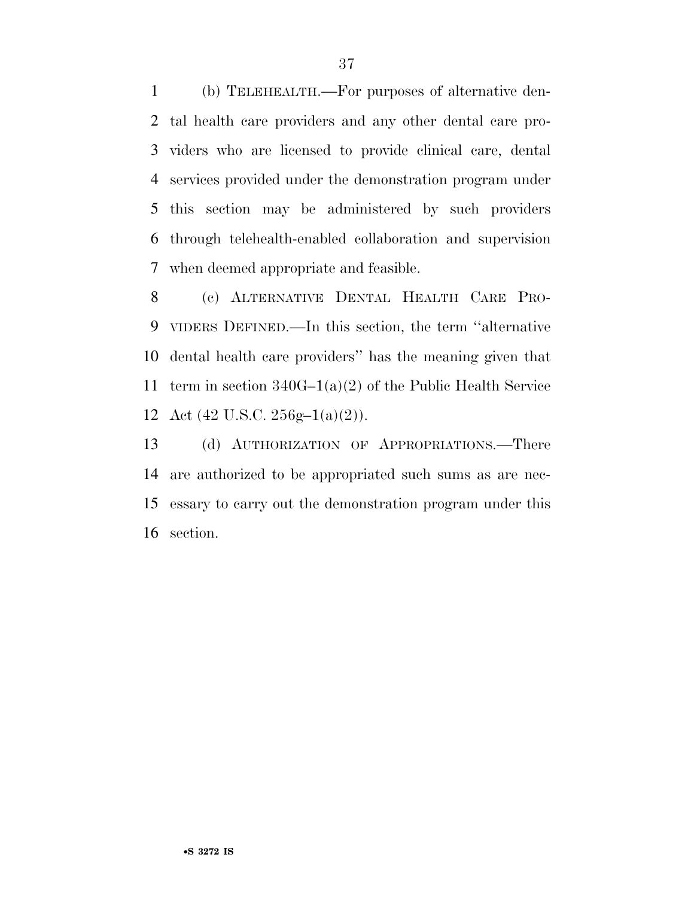(b) TELEHEALTH.—For purposes of alternative den- tal health care providers and any other dental care pro- viders who are licensed to provide clinical care, dental services provided under the demonstration program under this section may be administered by such providers through telehealth-enabled collaboration and supervision when deemed appropriate and feasible.

 (c) ALTERNATIVE DENTAL HEALTH CARE PRO- VIDERS DEFINED.—In this section, the term ''alternative dental health care providers'' has the meaning given that term in section 340G–1(a)(2) of the Public Health Service 12 Act  $(42 \text{ U.S.C. } 256 \text{g} - 1(a)(2))$ .

 (d) AUTHORIZATION OF APPROPRIATIONS.—There are authorized to be appropriated such sums as are nec- essary to carry out the demonstration program under this section.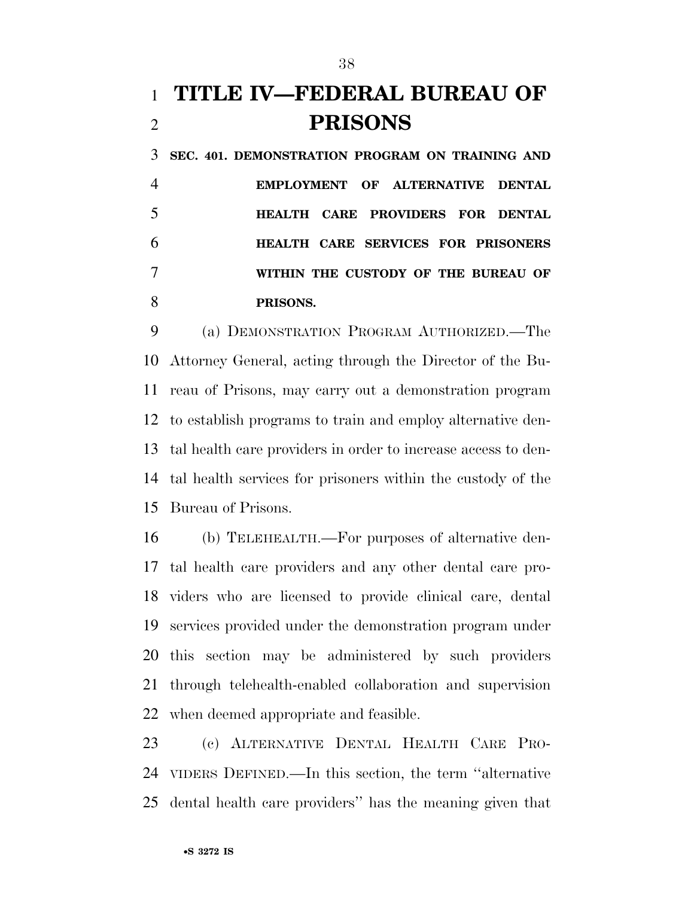## **TITLE IV—FEDERAL BUREAU OF PRISONS**

 **SEC. 401. DEMONSTRATION PROGRAM ON TRAINING AND EMPLOYMENT OF ALTERNATIVE DENTAL HEALTH CARE PROVIDERS FOR DENTAL HEALTH CARE SERVICES FOR PRISONERS WITHIN THE CUSTODY OF THE BUREAU OF PRISONS.** 

 (a) DEMONSTRATION PROGRAM AUTHORIZED.—The Attorney General, acting through the Director of the Bu- reau of Prisons, may carry out a demonstration program to establish programs to train and employ alternative den- tal health care providers in order to increase access to den- tal health services for prisoners within the custody of the Bureau of Prisons.

 (b) TELEHEALTH.—For purposes of alternative den- tal health care providers and any other dental care pro- viders who are licensed to provide clinical care, dental services provided under the demonstration program under this section may be administered by such providers through telehealth-enabled collaboration and supervision when deemed appropriate and feasible.

 (c) ALTERNATIVE DENTAL HEALTH CARE PRO- VIDERS DEFINED.—In this section, the term ''alternative dental health care providers'' has the meaning given that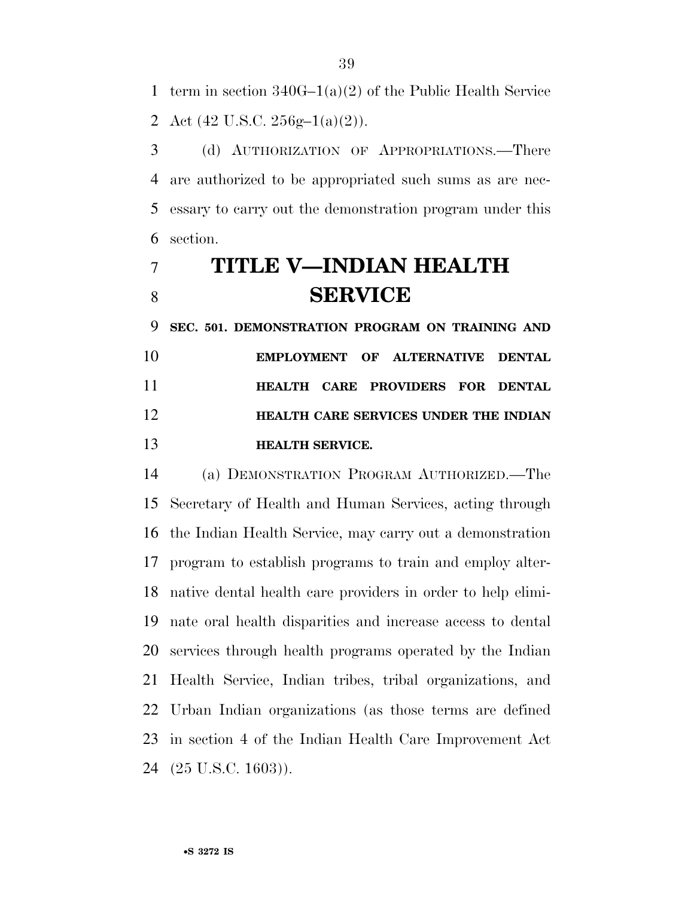term in section 340G–1(a)(2) of the Public Health Service 2 Act  $(42 \text{ U.S.C. } 256 \text{g} - 1(a)(2))$ .

 (d) AUTHORIZATION OF APPROPRIATIONS.—There are authorized to be appropriated such sums as are nec- essary to carry out the demonstration program under this section.

## **TITLE V—INDIAN HEALTH SERVICE**

 **SEC. 501. DEMONSTRATION PROGRAM ON TRAINING AND EMPLOYMENT OF ALTERNATIVE DENTAL HEALTH CARE PROVIDERS FOR DENTAL HEALTH CARE SERVICES UNDER THE INDIAN HEALTH SERVICE.** 

 (a) DEMONSTRATION PROGRAM AUTHORIZED.—The Secretary of Health and Human Services, acting through the Indian Health Service, may carry out a demonstration program to establish programs to train and employ alter- native dental health care providers in order to help elimi- nate oral health disparities and increase access to dental services through health programs operated by the Indian Health Service, Indian tribes, tribal organizations, and Urban Indian organizations (as those terms are defined in section 4 of the Indian Health Care Improvement Act (25 U.S.C. 1603)).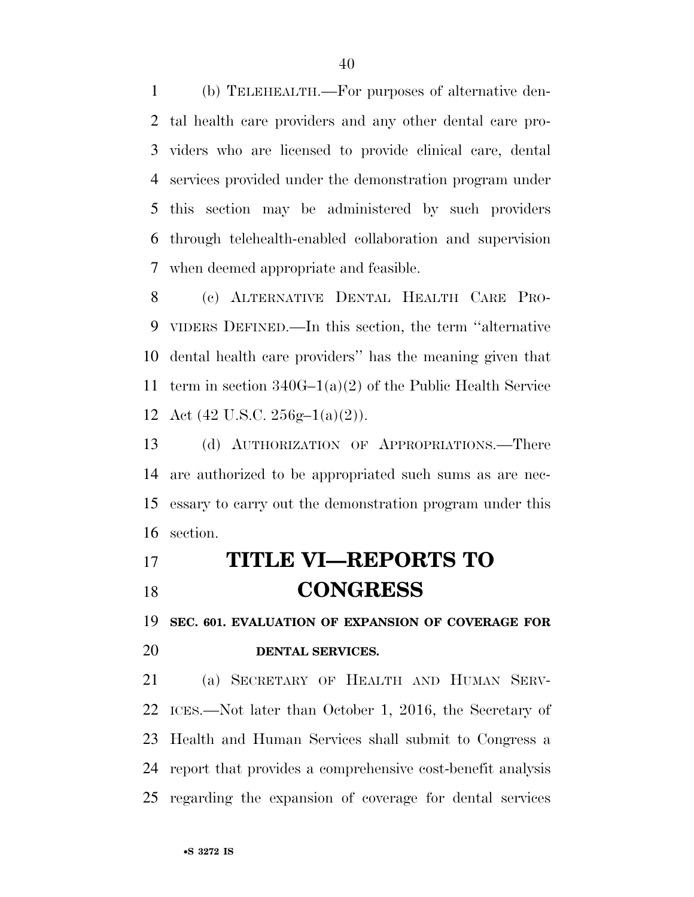(b) TELEHEALTH.—For purposes of alternative den- tal health care providers and any other dental care pro- viders who are licensed to provide clinical care, dental services provided under the demonstration program under this section may be administered by such providers through telehealth-enabled collaboration and supervision when deemed appropriate and feasible.

 (c) ALTERNATIVE DENTAL HEALTH CARE PRO- VIDERS DEFINED.—In this section, the term ''alternative dental health care providers'' has the meaning given that term in section 340G–1(a)(2) of the Public Health Service 12 Act  $(42 \text{ U.S.C. } 256 \text{g} - 1(a)(2))$ .

 (d) AUTHORIZATION OF APPROPRIATIONS.—There are authorized to be appropriated such sums as are nec- essary to carry out the demonstration program under this section.

## **TITLE VI—REPORTS TO CONGRESS**

**SEC. 601. EVALUATION OF EXPANSION OF COVERAGE FOR** 

## **DENTAL SERVICES.**

 (a) SECRETARY OF HEALTH AND HUMAN SERV- ICES.—Not later than October 1, 2016, the Secretary of Health and Human Services shall submit to Congress a report that provides a comprehensive cost-benefit analysis regarding the expansion of coverage for dental services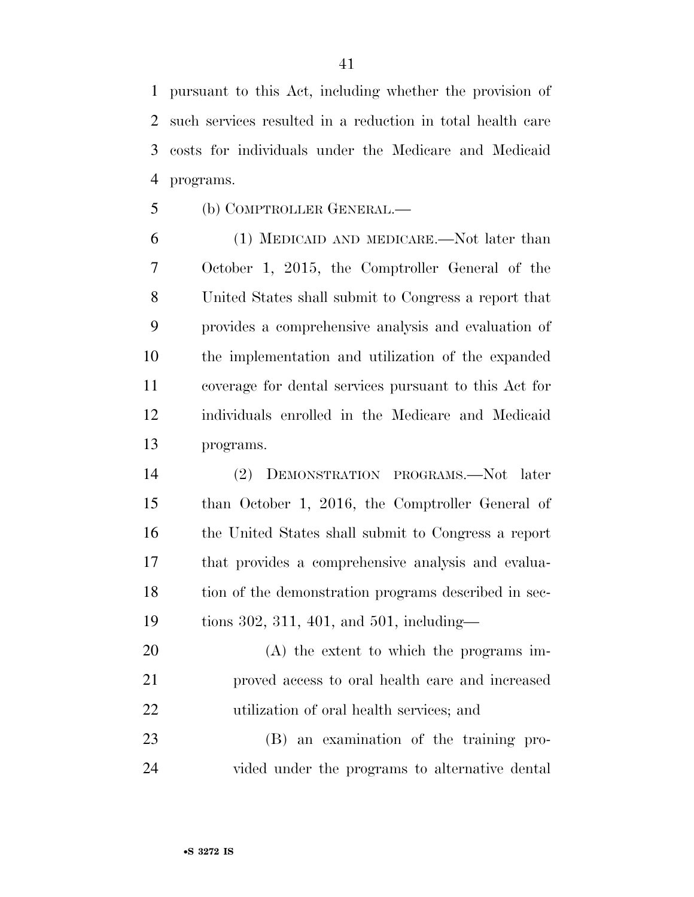pursuant to this Act, including whether the provision of such services resulted in a reduction in total health care costs for individuals under the Medicare and Medicaid programs.

(b) COMPTROLLER GENERAL.—

 (1) MEDICAID AND MEDICARE.—Not later than October 1, 2015, the Comptroller General of the United States shall submit to Congress a report that provides a comprehensive analysis and evaluation of the implementation and utilization of the expanded coverage for dental services pursuant to this Act for individuals enrolled in the Medicare and Medicaid programs.

 (2) DEMONSTRATION PROGRAMS.—Not later than October 1, 2016, the Comptroller General of the United States shall submit to Congress a report that provides a comprehensive analysis and evalua- tion of the demonstration programs described in sec-tions 302, 311, 401, and 501, including—

 (A) the extent to which the programs im- proved access to oral health care and increased utilization of oral health services; and

 (B) an examination of the training pro-vided under the programs to alternative dental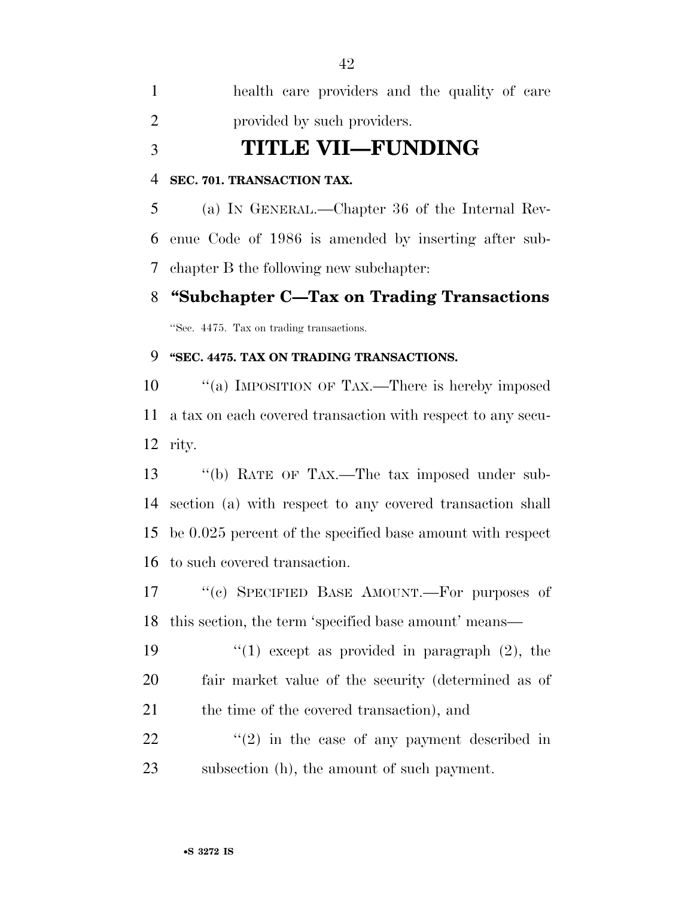health care providers and the quality of care provided by such providers.

## **TITLE VII—FUNDING**

### **SEC. 701. TRANSACTION TAX.**

 (a) IN GENERAL.—Chapter 36 of the Internal Rev- enue Code of 1986 is amended by inserting after sub-chapter B the following new subchapter:

## **''Subchapter C—Tax on Trading Transactions**

''Sec. 4475. Tax on trading transactions.

## **''SEC. 4475. TAX ON TRADING TRANSACTIONS.**

10 "(a) IMPOSITION OF TAX.—There is hereby imposed a tax on each covered transaction with respect to any secu-rity.

 ''(b) RATE OF TAX.—The tax imposed under sub- section (a) with respect to any covered transaction shall be 0.025 percent of the specified base amount with respect to such covered transaction.

17 "(c) SPECIFIED BASE AMOUNT.—For purposes of this section, the term 'specified base amount' means—

19  $\frac{1}{2}$  (1) except as provided in paragraph (2), the fair market value of the security (determined as of 21 the time of the covered transaction), and

 ''(2) in the case of any payment described in subsection (h), the amount of such payment.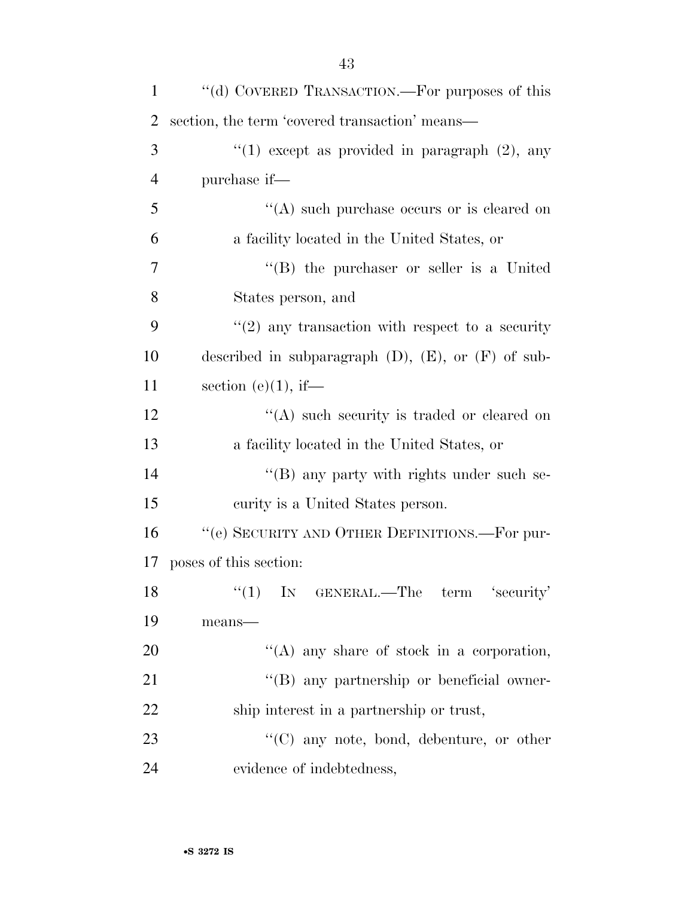| $\mathbf{1}$   | "(d) COVERED TRANSACTION.—For purposes of this             |
|----------------|------------------------------------------------------------|
| 2              | section, the term 'covered transaction' means—             |
| 3              | "(1) except as provided in paragraph $(2)$ , any           |
| $\overline{4}$ | purchase if—                                               |
| 5              | $\lq\lq$ such purchase occurs or is cleared on             |
| 6              | a facility located in the United States, or                |
| 7              | $\lq\lq (B)$ the purchaser or seller is a United           |
| 8              | States person, and                                         |
| 9              | $f'(2)$ any transaction with respect to a security         |
| 10             | described in subparagraph $(D)$ , $(E)$ , or $(F)$ of sub- |
| 11             | section (e) $(1)$ , if—                                    |
| 12             | $\lq\lq$ such security is traded or cleared on             |
| 13             | a facility located in the United States, or                |
| 14             | $\lq\lq (B)$ any party with rights under such se-          |
| 15             | curity is a United States person.                          |
| 16             | "(e) SECURITY AND OTHER DEFINITIONS.—For pur-              |
| 17             | poses of this section:                                     |
| 18             | $(1)$ IN GENERAL.—The term 'security'                      |
| 19             | means-                                                     |
| 20             | $\lq\lq$ any share of stock in a corporation,              |
| 21             | "(B) any partnership or beneficial owner-                  |
| 22             | ship interest in a partnership or trust,                   |
| 23             | $\lq\lq$ (C) any note, bond, debenture, or other           |
| 24             | evidence of indebtedness,                                  |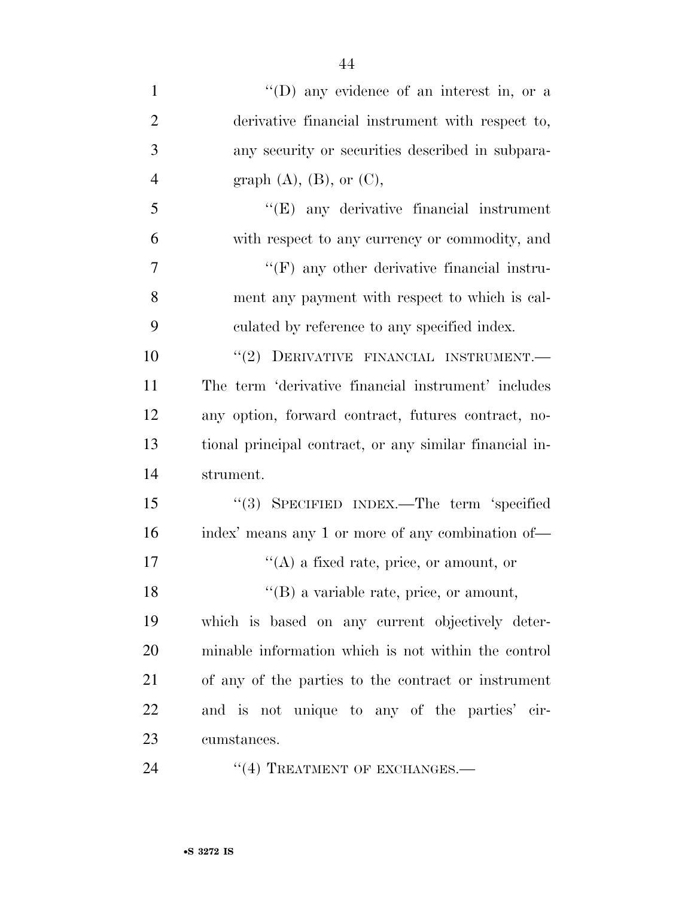| $\mathbf{1}$        | "(D) any evidence of an interest in, or a               |
|---------------------|---------------------------------------------------------|
| $\overline{2}$      | derivative financial instrument with respect to,        |
| 3                   | any security or securities described in subpara-        |
| $\overline{4}$      | graph $(A)$ , $(B)$ , or $(C)$ ,                        |
| 5                   | "(E) any derivative financial instrument                |
| 6                   | with respect to any currency or commodity, and          |
| 7                   | $\lq\lq(F)$ any other derivative financial instru-      |
| 8                   | ment any payment with respect to which is cal-          |
| 9                   | culated by reference to any specified index.            |
| 10                  | "(2) DERIVATIVE FINANCIAL INSTRUMENT.-                  |
| 11                  | The term 'derivative financial instrument' includes     |
| 12                  | any option, forward contract, futures contract, no-     |
| 13                  | tional principal contract, or any similar financial in- |
| 14                  | strument.                                               |
| 15                  | "(3) SPECIFIED INDEX.—The term 'specified               |
| 16                  | index' means any 1 or more of any combination of—       |
| 17                  | $\lq\lq$ (A) a fixed rate, price, or amount, or         |
| 18                  | $\lq\lq$ (B) a variable rate, price, or amount,         |
| 19                  | which is based on any current objectively deter-        |
| 20                  | minable information which is not within the control     |
| 21                  | of any of the parties to the contract or instrument     |
| 22                  | and is not unique to any of the parties' cir-           |
| 23                  | cumstances.                                             |
| $\bigcap$ $\bigcap$ |                                                         |

24 "(4) TREATMENT OF EXCHANGES.—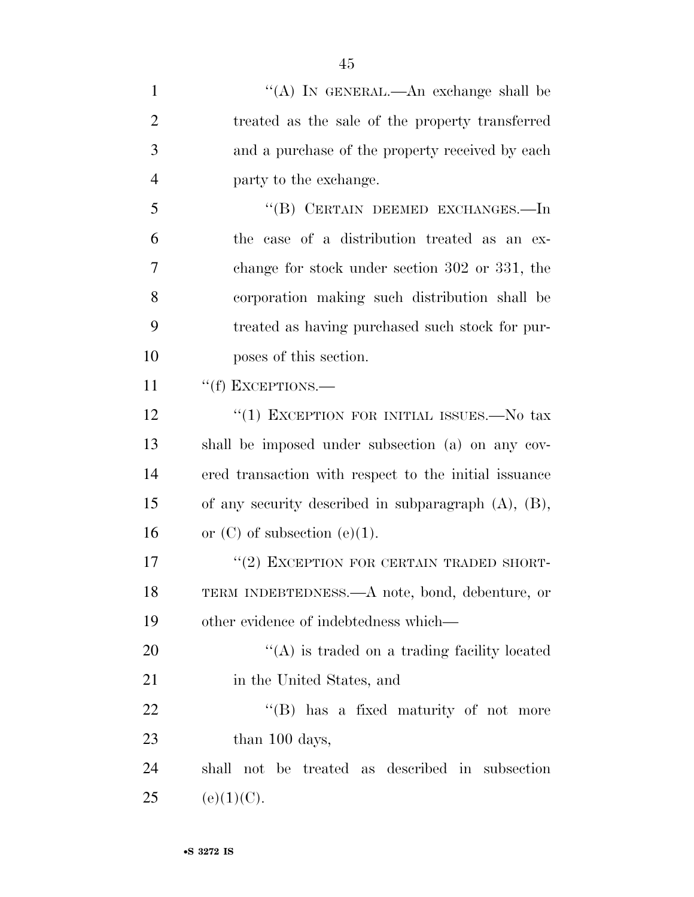| $\mathbf{1}$   | "(A) IN GENERAL.—An exchange shall be                     |
|----------------|-----------------------------------------------------------|
| $\overline{2}$ | treated as the sale of the property transferred           |
| 3              | and a purchase of the property received by each           |
| $\overline{4}$ | party to the exchange.                                    |
| 5              | "(B) CERTAIN DEEMED EXCHANGES.—In                         |
| 6              | the case of a distribution treated as an ex-              |
| 7              | change for stock under section 302 or 331, the            |
| 8              | corporation making such distribution shall be             |
| 9              | treated as having purchased such stock for pur-           |
| 10             | poses of this section.                                    |
| 11             | "(f) EXCEPTIONS.-                                         |
| 12             | "(1) EXCEPTION FOR INITIAL ISSUES.—No tax                 |
| 13             | shall be imposed under subsection (a) on any cov-         |
| 14             | ered transaction with respect to the initial issuance     |
| 15             | of any security described in subparagraph $(A)$ , $(B)$ , |
| 16             | or $(C)$ of subsection $(e)(1)$ .                         |
| 17             | "(2) EXCEPTION FOR CERTAIN TRADED SHORT-                  |
| 18             | TERM INDEBTEDNESS.—A note, bond, debenture, or            |
| 19             | other evidence of indebtedness which—                     |
| 20             | $\lq\lq$ is traded on a trading facility located          |
| 21             | in the United States, and                                 |
| 22             | "(B) has a fixed maturity of not more                     |
| 23             | than 100 days,                                            |
| 24             | shall not be treated as described in subsection           |
| 25             | (e)(1)(C).                                                |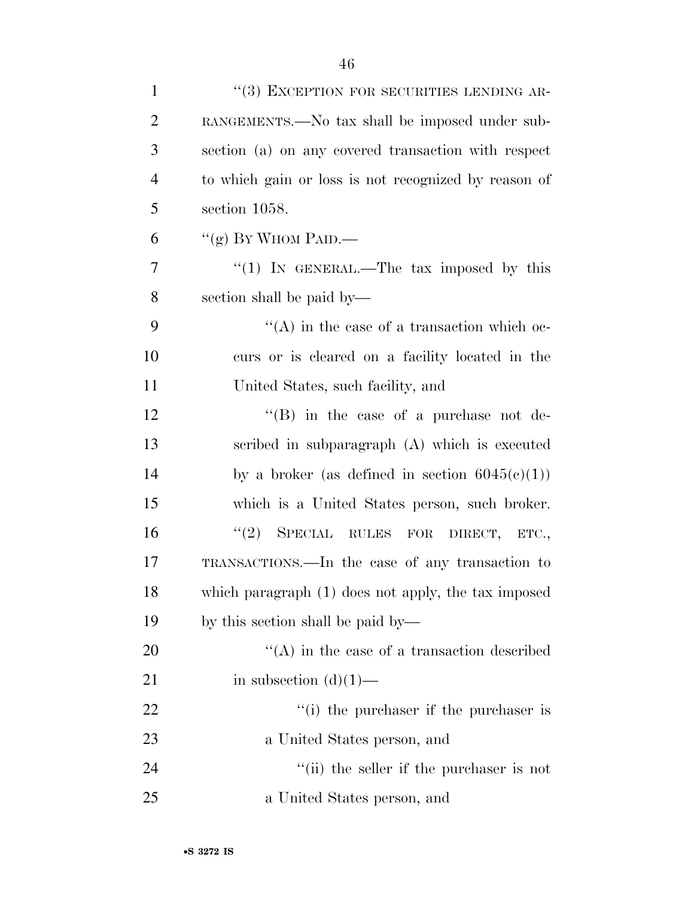| $\mathbf{1}$   | "(3) EXCEPTION FOR SECURITIES LENDING AR-            |
|----------------|------------------------------------------------------|
| $\overline{2}$ | RANGEMENTS.—No tax shall be imposed under sub-       |
| 3              | section (a) on any covered transaction with respect  |
| $\overline{4}$ | to which gain or loss is not recognized by reason of |
| 5              | section 1058.                                        |
| 6              | "(g) BY WHOM PAID.—                                  |
| 7              | " $(1)$ IN GENERAL.—The tax imposed by this          |
| 8              | section shall be paid by—                            |
| 9              | $\lq\lq$ in the case of a transaction which oc-      |
| 10             | curs or is cleared on a facility located in the      |
| 11             | United States, such facility, and                    |
| 12             | "(B) in the case of a purchase not de-               |
| 13             | scribed in subparagraph $(A)$ which is executed      |
| 14             | by a broker (as defined in section $6045(c)(1)$ )    |
| 15             | which is a United States person, such broker.        |
| 16             | "(2) SPECIAL RULES FOR DIRECT, ETC.,                 |
| 17             | TRANSACTIONS.—In the case of any transaction to      |
| 18             | which paragraph (1) does not apply, the tax imposed  |
| 19             | by this section shall be paid by—                    |
| 20             | $\lq\lq$ in the case of a transaction described      |
| 21             | in subsection $(d)(1)$ —                             |
| 22             | $f(i)$ the purchaser if the purchaser is             |
| 23             | a United States person, and                          |
| 24             | "(ii) the seller if the purchaser is not             |
| 25             | a United States person, and                          |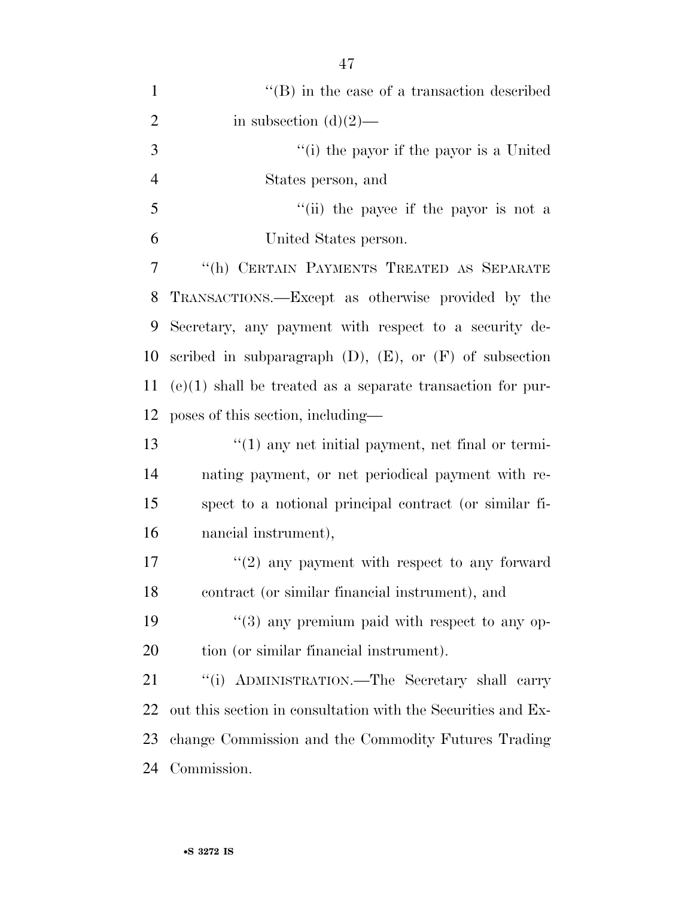| $\mathbf{1}$   | $\lq\lq$ (B) in the case of a transaction described            |
|----------------|----------------------------------------------------------------|
| $\overline{2}$ | in subsection $(d)(2)$ —                                       |
| 3              | "(i) the payor if the payor is a United                        |
| $\overline{4}$ | States person, and                                             |
| 5              | "(ii) the payee if the payor is not a                          |
| 6              | United States person.                                          |
| 7              | "(h) CERTAIN PAYMENTS TREATED AS SEPARATE                      |
| 8              | TRANSACTIONS.—Except as otherwise provided by the              |
| 9              | Secretary, any payment with respect to a security de-          |
| 10             | scribed in subparagraph $(D)$ , $(E)$ , or $(F)$ of subsection |
| 11             | $(e)(1)$ shall be treated as a separate transaction for pur-   |
| 12             | poses of this section, including—                              |
| 13             | $\lq(1)$ any net initial payment, net final or termi-          |
| 14             | nating payment, or net periodical payment with re-             |
| 15             | spect to a notional principal contract (or similar fi-         |
| 16             | nancial instrument),                                           |
| 17             | $(2)$ any payment with respect to any forward                  |
| 18             | contract (or similar financial instrument), and                |
| 19             | $(3)$ any premium paid with respect to any op-                 |
| 20             | tion (or similar financial instrument).                        |
| 21             | "(i) ADMINISTRATION.—The Secretary shall carry                 |
| 22             | out this section in consultation with the Securities and Ex-   |
| 23             | change Commission and the Commodity Futures Trading            |
| 24             | Commission.                                                    |